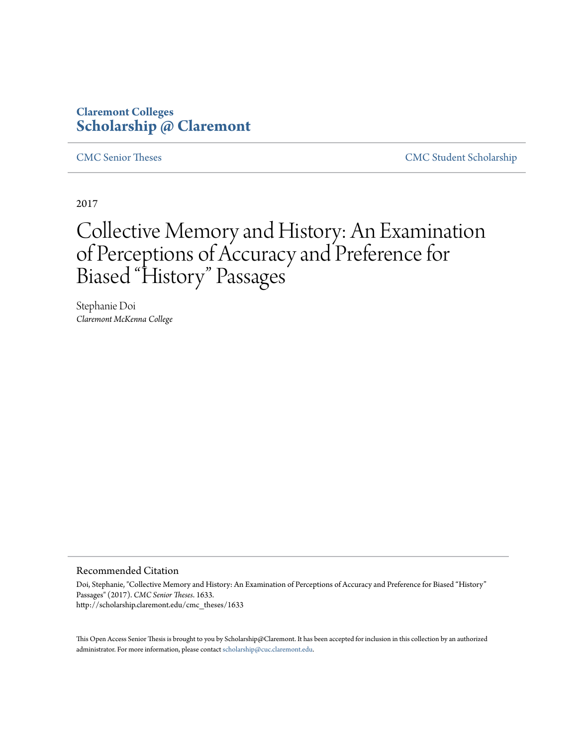## **Claremont Colleges [Scholarship @ Claremont](http://scholarship.claremont.edu)**

[CMC Senior Theses](http://scholarship.claremont.edu/cmc_theses) [CMC Student Scholarship](http://scholarship.claremont.edu/cmc_student)

2017

# Collective Memory and History: An Examination of Perceptions of Accuracy and Preference for Biased "History" Passages

Stephanie Doi *Claremont McKenna College*

#### Recommended Citation

Doi, Stephanie, "Collective Memory and History: An Examination of Perceptions of Accuracy and Preference for Biased "History" Passages" (2017). *CMC Senior Theses*. 1633. http://scholarship.claremont.edu/cmc\_theses/1633

This Open Access Senior Thesis is brought to you by Scholarship@Claremont. It has been accepted for inclusion in this collection by an authorized administrator. For more information, please contact [scholarship@cuc.claremont.edu.](mailto:scholarship@cuc.claremont.edu)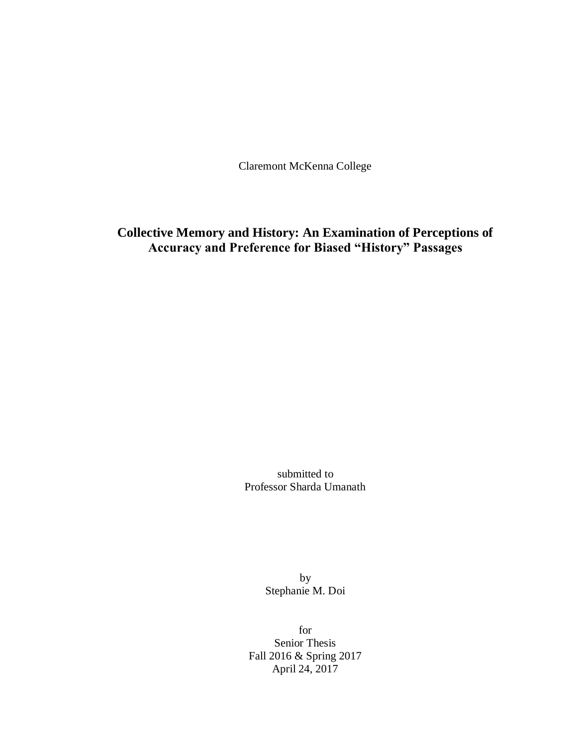Claremont McKenna College

**Collective Memory and History: An Examination of Perceptions of Accuracy and Preference for Biased "History" Passages**

> submitted to Professor Sharda Umanath

> > by Stephanie M. Doi

for Senior Thesis Fall 2016 & Spring 2017 April 24, 2017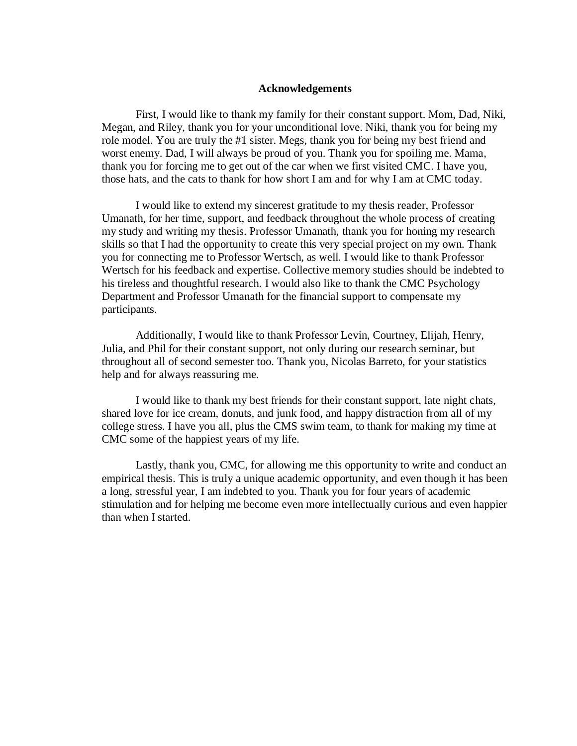#### **Acknowledgements**

First, I would like to thank my family for their constant support. Mom, Dad, Niki, Megan, and Riley, thank you for your unconditional love. Niki, thank you for being my role model. You are truly the #1 sister. Megs, thank you for being my best friend and worst enemy. Dad, I will always be proud of you. Thank you for spoiling me. Mama, thank you for forcing me to get out of the car when we first visited CMC. I have you, those hats, and the cats to thank for how short I am and for why I am at CMC today.

I would like to extend my sincerest gratitude to my thesis reader, Professor Umanath, for her time, support, and feedback throughout the whole process of creating my study and writing my thesis. Professor Umanath, thank you for honing my research skills so that I had the opportunity to create this very special project on my own. Thank you for connecting me to Professor Wertsch, as well. I would like to thank Professor Wertsch for his feedback and expertise. Collective memory studies should be indebted to his tireless and thoughtful research. I would also like to thank the CMC Psychology Department and Professor Umanath for the financial support to compensate my participants.

Additionally, I would like to thank Professor Levin, Courtney, Elijah, Henry, Julia, and Phil for their constant support, not only during our research seminar, but throughout all of second semester too. Thank you, Nicolas Barreto, for your statistics help and for always reassuring me.

I would like to thank my best friends for their constant support, late night chats, shared love for ice cream, donuts, and junk food, and happy distraction from all of my college stress. I have you all, plus the CMS swim team, to thank for making my time at CMC some of the happiest years of my life.

Lastly, thank you, CMC, for allowing me this opportunity to write and conduct an empirical thesis. This is truly a unique academic opportunity, and even though it has been a long, stressful year, I am indebted to you. Thank you for four years of academic stimulation and for helping me become even more intellectually curious and even happier than when I started.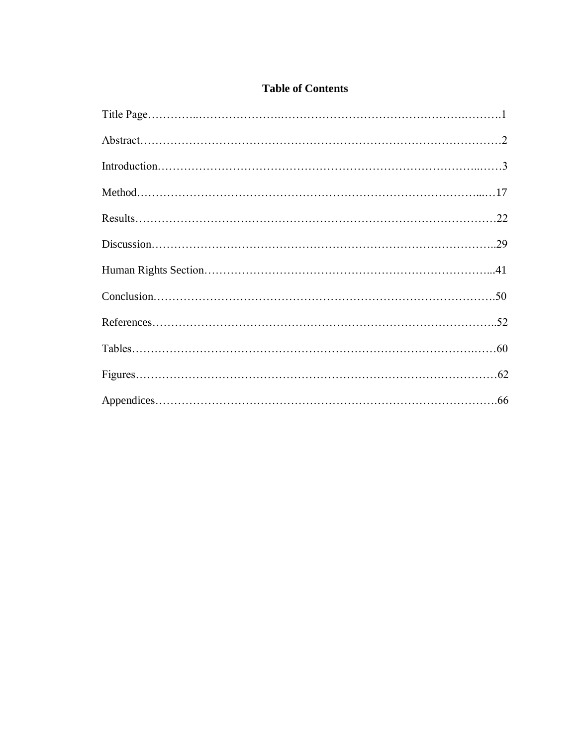### **Table of Contents**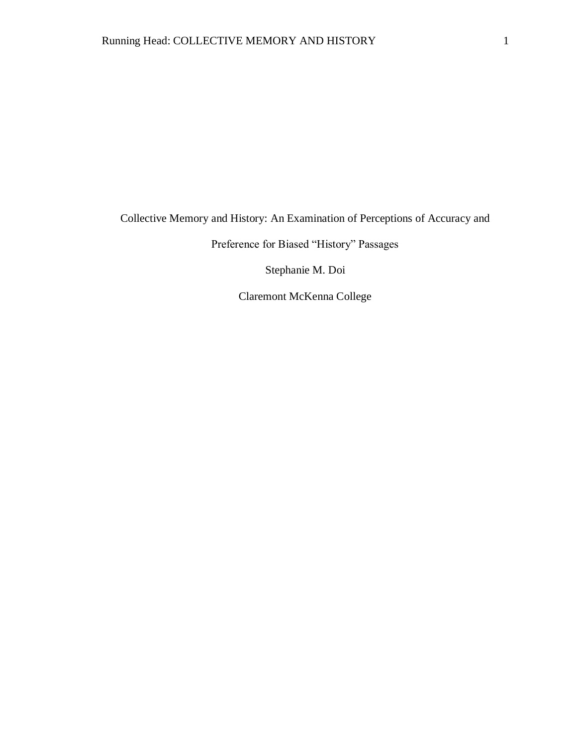Collective Memory and History: An Examination of Perceptions of Accuracy and

Preference for Biased "History" Passages

Stephanie M. Doi

Claremont McKenna College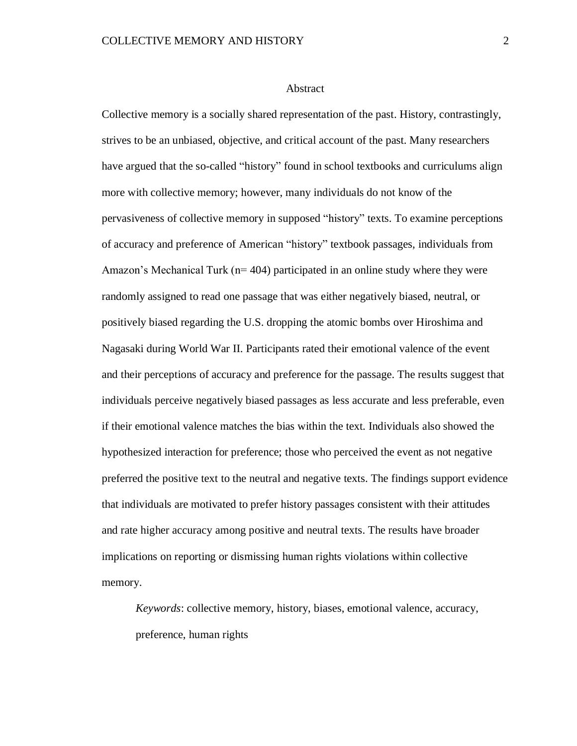#### Abstract

Collective memory is a socially shared representation of the past. History, contrastingly, strives to be an unbiased, objective, and critical account of the past. Many researchers have argued that the so-called "history" found in school textbooks and curriculums align more with collective memory; however, many individuals do not know of the pervasiveness of collective memory in supposed "history" texts. To examine perceptions of accuracy and preference of American "history" textbook passages, individuals from Amazon's Mechanical Turk ( $n= 404$ ) participated in an online study where they were randomly assigned to read one passage that was either negatively biased, neutral, or positively biased regarding the U.S. dropping the atomic bombs over Hiroshima and Nagasaki during World War II. Participants rated their emotional valence of the event and their perceptions of accuracy and preference for the passage. The results suggest that individuals perceive negatively biased passages as less accurate and less preferable, even if their emotional valence matches the bias within the text. Individuals also showed the hypothesized interaction for preference; those who perceived the event as not negative preferred the positive text to the neutral and negative texts. The findings support evidence that individuals are motivated to prefer history passages consistent with their attitudes and rate higher accuracy among positive and neutral texts. The results have broader implications on reporting or dismissing human rights violations within collective memory.

*Keywords*: collective memory, history, biases, emotional valence, accuracy, preference, human rights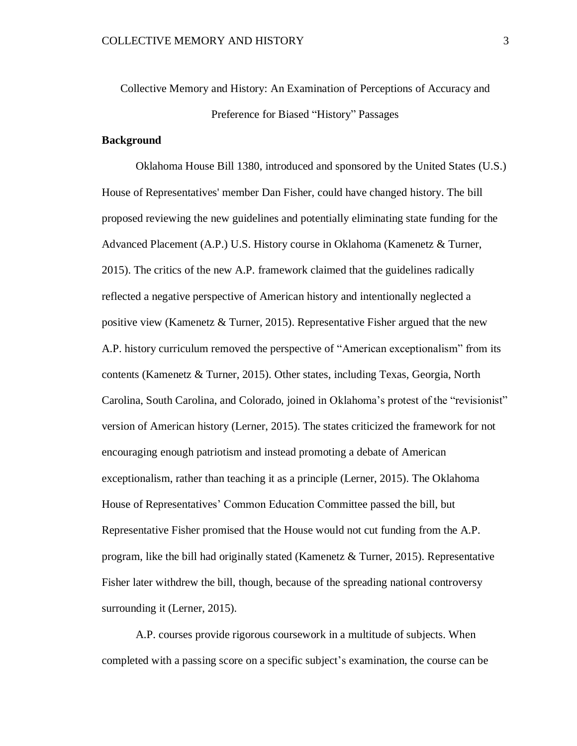Collective Memory and History: An Examination of Perceptions of Accuracy and Preference for Biased "History" Passages

#### **Background**

Oklahoma House Bill 1380, introduced and sponsored by the United States (U.S.) House of Representatives' member Dan Fisher, could have changed history. The bill proposed reviewing the new guidelines and potentially eliminating state funding for the Advanced Placement (A.P.) U.S. History course in Oklahoma (Kamenetz & Turner, 2015). The critics of the new A.P. framework claimed that the guidelines radically reflected a negative perspective of American history and intentionally neglected a positive view (Kamenetz & Turner, 2015). Representative Fisher argued that the new A.P. history curriculum removed the perspective of "American exceptionalism" from its contents (Kamenetz & Turner, 2015). Other states, including Texas, Georgia, North Carolina, South Carolina, and Colorado, joined in Oklahoma's protest of the "revisionist" version of American history (Lerner, 2015). The states criticized the framework for not encouraging enough patriotism and instead promoting a debate of American exceptionalism, rather than teaching it as a principle (Lerner, 2015). The Oklahoma House of Representatives' Common Education Committee passed the bill, but Representative Fisher promised that the House would not cut funding from the A.P. program, like the bill had originally stated (Kamenetz & Turner, 2015). Representative Fisher later withdrew the bill, though, because of the spreading national controversy surrounding it (Lerner, 2015).

A.P. courses provide rigorous coursework in a multitude of subjects. When completed with a passing score on a specific subject's examination, the course can be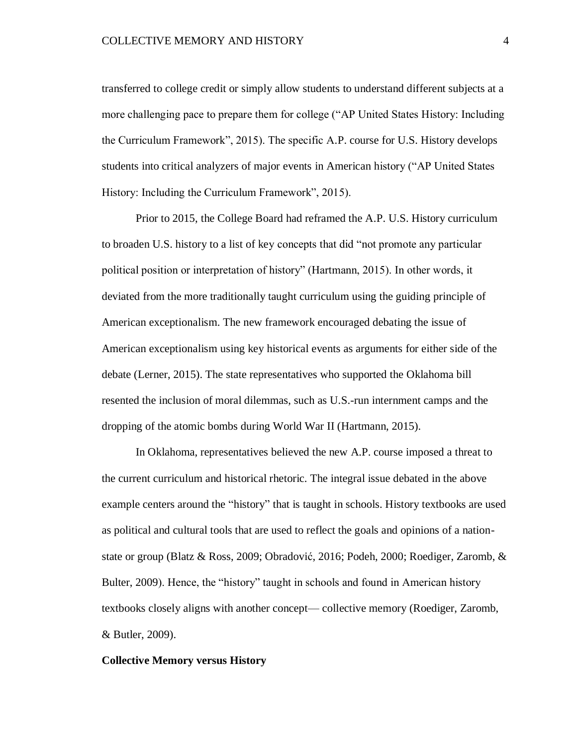transferred to college credit or simply allow students to understand different subjects at a more challenging pace to prepare them for college ("AP United States History: Including the Curriculum Framework", 2015). The specific A.P. course for U.S. History develops students into critical analyzers of major events in American history ("AP United States History: Including the Curriculum Framework", 2015).

Prior to 2015, the College Board had reframed the A.P. U.S. History curriculum to broaden U.S. history to a list of key concepts that did "not promote any particular political position or interpretation of history" (Hartmann, 2015). In other words, it deviated from the more traditionally taught curriculum using the guiding principle of American exceptionalism. The new framework encouraged debating the issue of American exceptionalism using key historical events as arguments for either side of the debate (Lerner, 2015). The state representatives who supported the Oklahoma bill resented the inclusion of moral dilemmas, such as U.S.-run internment camps and the dropping of the atomic bombs during World War II (Hartmann, 2015).

In Oklahoma, representatives believed the new A.P. course imposed a threat to the current curriculum and historical rhetoric. The integral issue debated in the above example centers around the "history" that is taught in schools. History textbooks are used as political and cultural tools that are used to reflect the goals and opinions of a nationstate or group (Blatz & Ross, 2009; Obradović, 2016; Podeh, 2000; Roediger, Zaromb, & Bulter, 2009). Hence, the "history" taught in schools and found in American history textbooks closely aligns with another concept— collective memory (Roediger, Zaromb, & Butler, 2009).

#### **Collective Memory versus History**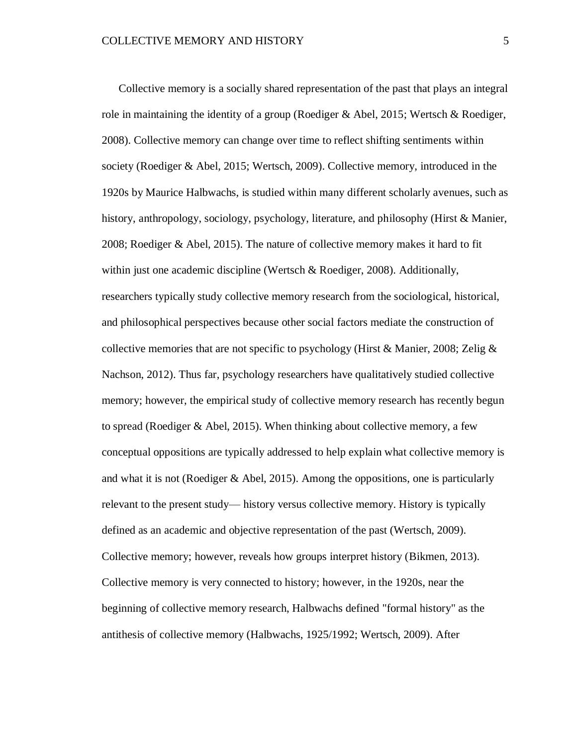Collective memory is a socially shared representation of the past that plays an integral role in maintaining the identity of a group (Roediger & Abel, 2015; Wertsch & Roediger, 2008). Collective memory can change over time to reflect shifting sentiments within society (Roediger & Abel, 2015; Wertsch, 2009). Collective memory, introduced in the 1920s by Maurice Halbwachs, is studied within many different scholarly avenues, such as history, anthropology, sociology, psychology, literature, and philosophy (Hirst & Manier, 2008; Roediger & Abel, 2015). The nature of collective memory makes it hard to fit within just one academic discipline (Wertsch & Roediger, 2008). Additionally, researchers typically study collective memory research from the sociological, historical, and philosophical perspectives because other social factors mediate the construction of collective memories that are not specific to psychology (Hirst & Manier, 2008; Zelig & Nachson, 2012). Thus far, psychology researchers have qualitatively studied collective memory; however, the empirical study of collective memory research has recently begun to spread (Roediger & Abel, 2015). When thinking about collective memory, a few conceptual oppositions are typically addressed to help explain what collective memory is and what it is not (Roediger & Abel, 2015). Among the oppositions, one is particularly relevant to the present study— history versus collective memory. History is typically defined as an academic and objective representation of the past (Wertsch, 2009). Collective memory; however, reveals how groups interpret history (Bikmen, 2013). Collective memory is very connected to history; however, in the 1920s, near the beginning of collective memory research, Halbwachs defined "formal history" as the antithesis of collective memory (Halbwachs, 1925/1992; Wertsch, 2009). After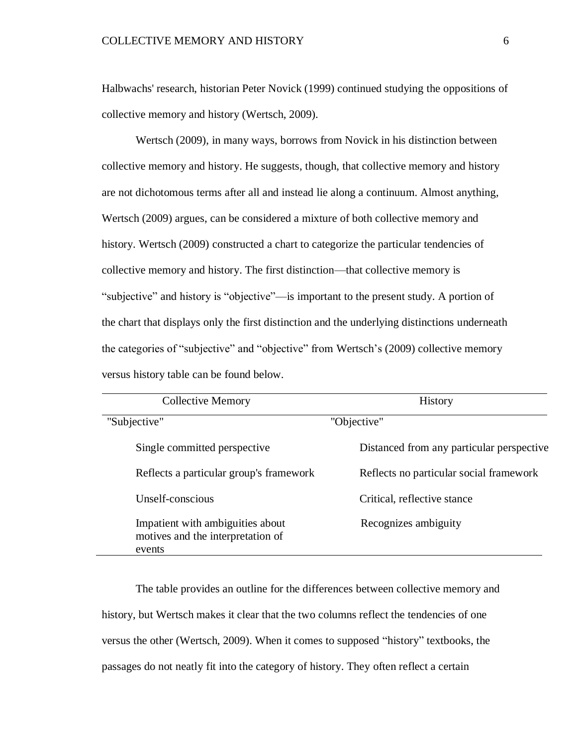Halbwachs' research, historian Peter Novick (1999) continued studying the oppositions of collective memory and history (Wertsch, 2009).

Wertsch (2009), in many ways, borrows from Novick in his distinction between collective memory and history. He suggests, though, that collective memory and history are not dichotomous terms after all and instead lie along a continuum. Almost anything, Wertsch (2009) argues, can be considered a mixture of both collective memory and history. Wertsch (2009) constructed a chart to categorize the particular tendencies of collective memory and history. The first distinction—that collective memory is "subjective" and history is "objective"—is important to the present study. A portion of the chart that displays only the first distinction and the underlying distinctions underneath the categories of "subjective" and "objective" from Wertsch's (2009) collective memory versus history table can be found below.

| <b>Collective Memory</b>                                                        | History                                   |
|---------------------------------------------------------------------------------|-------------------------------------------|
| "Subjective"                                                                    | "Objective"                               |
| Single committed perspective                                                    | Distanced from any particular perspective |
| Reflects a particular group's framework                                         | Reflects no particular social framework   |
| Unself-conscious                                                                | Critical, reflective stance               |
| Impatient with ambiguities about<br>motives and the interpretation of<br>events | Recognizes ambiguity                      |

The table provides an outline for the differences between collective memory and history, but Wertsch makes it clear that the two columns reflect the tendencies of one versus the other (Wertsch, 2009). When it comes to supposed "history" textbooks, the passages do not neatly fit into the category of history. They often reflect a certain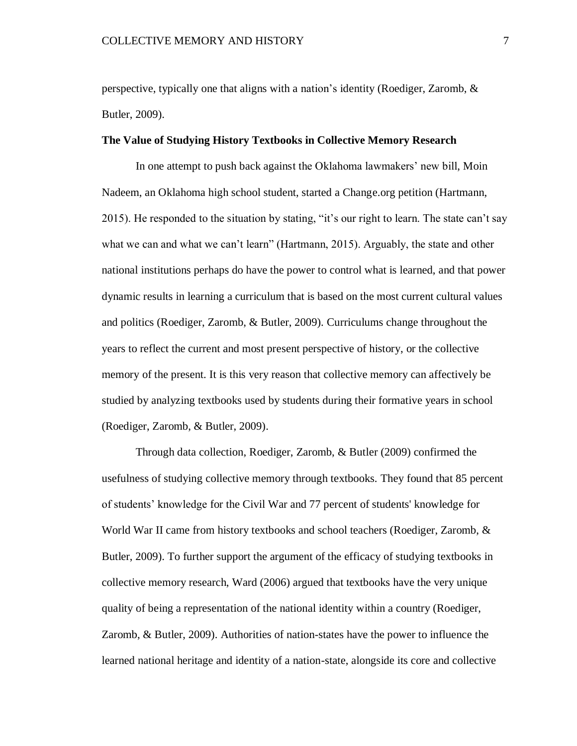perspective, typically one that aligns with a nation's identity (Roediger, Zaromb, & Butler, 2009).

#### **The Value of Studying History Textbooks in Collective Memory Research**

In one attempt to push back against the Oklahoma lawmakers' new bill, Moin Nadeem, an Oklahoma high school student, started a Change.org petition (Hartmann, 2015). He responded to the situation by stating, "it's our right to learn. The state can't say what we can and what we can't learn" (Hartmann, 2015). Arguably, the state and other national institutions perhaps do have the power to control what is learned, and that power dynamic results in learning a curriculum that is based on the most current cultural values and politics (Roediger, Zaromb, & Butler, 2009). Curriculums change throughout the years to reflect the current and most present perspective of history, or the collective memory of the present. It is this very reason that collective memory can affectively be studied by analyzing textbooks used by students during their formative years in school (Roediger, Zaromb, & Butler, 2009).

Through data collection, Roediger, Zaromb, & Butler (2009) confirmed the usefulness of studying collective memory through textbooks. They found that 85 percent of students' knowledge for the Civil War and 77 percent of students' knowledge for World War II came from history textbooks and school teachers (Roediger, Zaromb, & Butler, 2009). To further support the argument of the efficacy of studying textbooks in collective memory research, Ward (2006) argued that textbooks have the very unique quality of being a representation of the national identity within a country (Roediger, Zaromb, & Butler, 2009). Authorities of nation-states have the power to influence the learned national heritage and identity of a nation-state, alongside its core and collective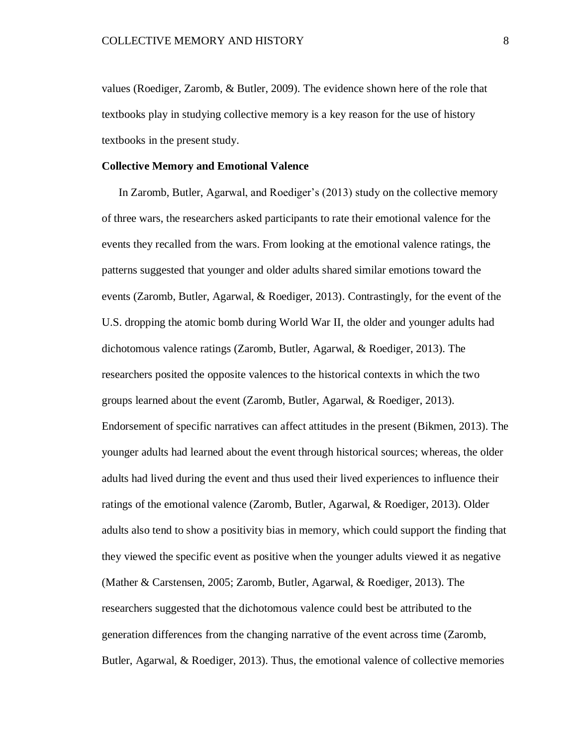values (Roediger, Zaromb, & Butler, 2009). The evidence shown here of the role that textbooks play in studying collective memory is a key reason for the use of history textbooks in the present study.

#### **Collective Memory and Emotional Valence**

In Zaromb, Butler, Agarwal, and Roediger's (2013) study on the collective memory of three wars, the researchers asked participants to rate their emotional valence for the events they recalled from the wars. From looking at the emotional valence ratings, the patterns suggested that younger and older adults shared similar emotions toward the events (Zaromb, Butler, Agarwal, & Roediger, 2013). Contrastingly, for the event of the U.S. dropping the atomic bomb during World War II, the older and younger adults had dichotomous valence ratings (Zaromb, Butler, Agarwal, & Roediger, 2013). The researchers posited the opposite valences to the historical contexts in which the two groups learned about the event (Zaromb, Butler, Agarwal, & Roediger, 2013). Endorsement of specific narratives can affect attitudes in the present (Bikmen, 2013). The younger adults had learned about the event through historical sources; whereas, the older adults had lived during the event and thus used their lived experiences to influence their ratings of the emotional valence (Zaromb, Butler, Agarwal, & Roediger, 2013). Older adults also tend to show a positivity bias in memory, which could support the finding that they viewed the specific event as positive when the younger adults viewed it as negative (Mather & Carstensen, 2005; Zaromb, Butler, Agarwal, & Roediger, 2013). The researchers suggested that the dichotomous valence could best be attributed to the generation differences from the changing narrative of the event across time (Zaromb, Butler, Agarwal, & Roediger, 2013). Thus, the emotional valence of collective memories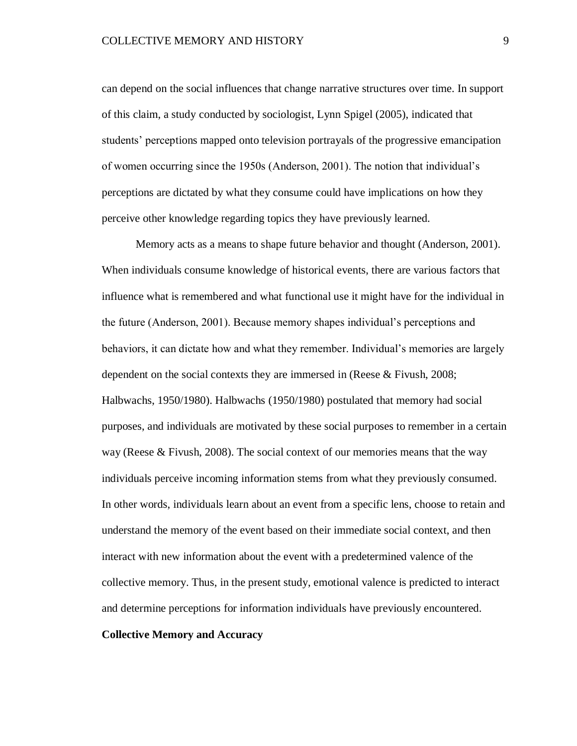can depend on the social influences that change narrative structures over time. In support of this claim, a study conducted by sociologist, Lynn Spigel (2005), indicated that students' perceptions mapped onto television portrayals of the progressive emancipation of women occurring since the 1950s (Anderson, 2001). The notion that individual's perceptions are dictated by what they consume could have implications on how they perceive other knowledge regarding topics they have previously learned.

Memory acts as a means to shape future behavior and thought (Anderson, 2001). When individuals consume knowledge of historical events, there are various factors that influence what is remembered and what functional use it might have for the individual in the future (Anderson, 2001). Because memory shapes individual's perceptions and behaviors, it can dictate how and what they remember. Individual's memories are largely dependent on the social contexts they are immersed in (Reese & Fivush, 2008; Halbwachs, 1950/1980). Halbwachs (1950/1980) postulated that memory had social purposes, and individuals are motivated by these social purposes to remember in a certain way (Reese  $\&$  Fivush, 2008). The social context of our memories means that the way individuals perceive incoming information stems from what they previously consumed. In other words, individuals learn about an event from a specific lens, choose to retain and understand the memory of the event based on their immediate social context, and then interact with new information about the event with a predetermined valence of the collective memory. Thus, in the present study, emotional valence is predicted to interact and determine perceptions for information individuals have previously encountered. **Collective Memory and Accuracy**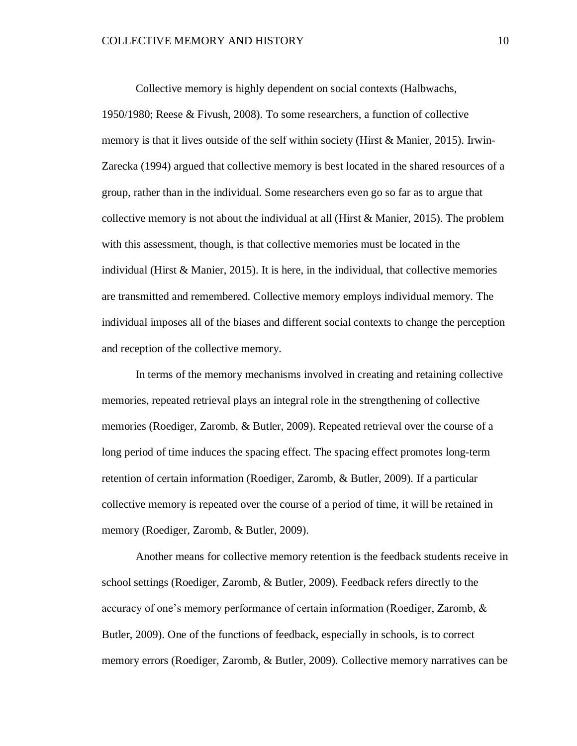Collective memory is highly dependent on social contexts (Halbwachs, 1950/1980; Reese & Fivush, 2008). To some researchers, a function of collective memory is that it lives outside of the self within society (Hirst & Manier, 2015). Irwin-Zarecka (1994) argued that collective memory is best located in the shared resources of a group, rather than in the individual. Some researchers even go so far as to argue that collective memory is not about the individual at all (Hirst  $\&$  Manier, 2015). The problem with this assessment, though, is that collective memories must be located in the individual (Hirst & Manier, 2015). It is here, in the individual, that collective memories are transmitted and remembered. Collective memory employs individual memory. The individual imposes all of the biases and different social contexts to change the perception and reception of the collective memory.

In terms of the memory mechanisms involved in creating and retaining collective memories, repeated retrieval plays an integral role in the strengthening of collective memories (Roediger, Zaromb, & Butler, 2009). Repeated retrieval over the course of a long period of time induces the spacing effect. The spacing effect promotes long-term retention of certain information (Roediger, Zaromb, & Butler, 2009). If a particular collective memory is repeated over the course of a period of time, it will be retained in memory (Roediger, Zaromb, & Butler, 2009).

Another means for collective memory retention is the feedback students receive in school settings (Roediger, Zaromb, & Butler, 2009). Feedback refers directly to the accuracy of one's memory performance of certain information (Roediger, Zaromb, & Butler, 2009). One of the functions of feedback, especially in schools, is to correct memory errors (Roediger, Zaromb, & Butler, 2009). Collective memory narratives can be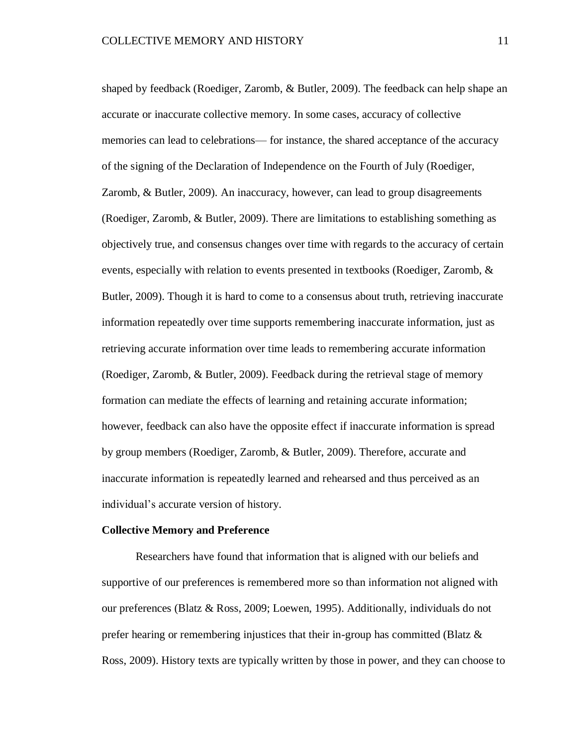shaped by feedback (Roediger, Zaromb, & Butler, 2009). The feedback can help shape an accurate or inaccurate collective memory. In some cases, accuracy of collective memories can lead to celebrations— for instance, the shared acceptance of the accuracy of the signing of the Declaration of Independence on the Fourth of July (Roediger, Zaromb, & Butler, 2009). An inaccuracy, however, can lead to group disagreements (Roediger, Zaromb, & Butler, 2009). There are limitations to establishing something as objectively true, and consensus changes over time with regards to the accuracy of certain events, especially with relation to events presented in textbooks (Roediger, Zaromb, & Butler, 2009). Though it is hard to come to a consensus about truth, retrieving inaccurate information repeatedly over time supports remembering inaccurate information, just as retrieving accurate information over time leads to remembering accurate information (Roediger, Zaromb, & Butler, 2009). Feedback during the retrieval stage of memory formation can mediate the effects of learning and retaining accurate information; however, feedback can also have the opposite effect if inaccurate information is spread by group members (Roediger, Zaromb, & Butler, 2009). Therefore, accurate and inaccurate information is repeatedly learned and rehearsed and thus perceived as an individual's accurate version of history.

#### **Collective Memory and Preference**

Researchers have found that information that is aligned with our beliefs and supportive of our preferences is remembered more so than information not aligned with our preferences (Blatz & Ross, 2009; Loewen, 1995). Additionally, individuals do not prefer hearing or remembering injustices that their in-group has committed (Blatz & Ross, 2009). History texts are typically written by those in power, and they can choose to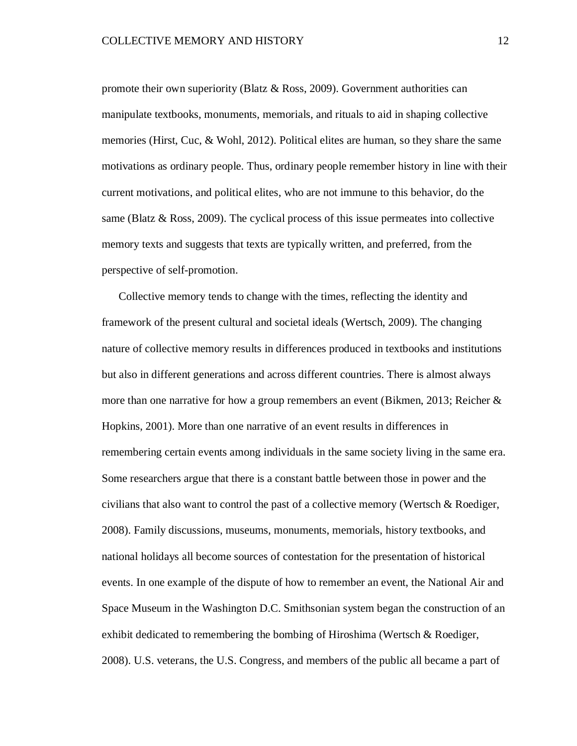promote their own superiority (Blatz & Ross, 2009). Government authorities can manipulate textbooks, monuments, memorials, and rituals to aid in shaping collective memories (Hirst, Cuc, & Wohl, 2012). Political elites are human, so they share the same motivations as ordinary people. Thus, ordinary people remember history in line with their current motivations, and political elites, who are not immune to this behavior, do the same (Blatz  $\&$  Ross, 2009). The cyclical process of this issue permeates into collective memory texts and suggests that texts are typically written, and preferred, from the perspective of self-promotion.

Collective memory tends to change with the times, reflecting the identity and framework of the present cultural and societal ideals (Wertsch, 2009). The changing nature of collective memory results in differences produced in textbooks and institutions but also in different generations and across different countries. There is almost always more than one narrative for how a group remembers an event (Bikmen, 2013; Reicher  $\&$ Hopkins, 2001). More than one narrative of an event results in differences in remembering certain events among individuals in the same society living in the same era. Some researchers argue that there is a constant battle between those in power and the civilians that also want to control the past of a collective memory (Wertsch & Roediger, 2008). Family discussions, museums, monuments, memorials, history textbooks, and national holidays all become sources of contestation for the presentation of historical events. In one example of the dispute of how to remember an event, the National Air and Space Museum in the Washington D.C. Smithsonian system began the construction of an exhibit dedicated to remembering the bombing of Hiroshima (Wertsch & Roediger, 2008). U.S. veterans, the U.S. Congress, and members of the public all became a part of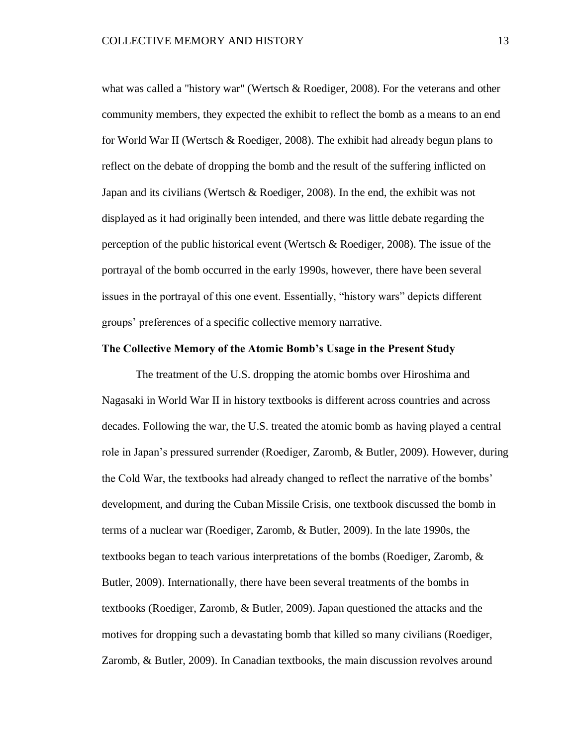what was called a "history war" (Wertsch & Roediger, 2008). For the veterans and other community members, they expected the exhibit to reflect the bomb as a means to an end for World War II (Wertsch & Roediger, 2008). The exhibit had already begun plans to reflect on the debate of dropping the bomb and the result of the suffering inflicted on Japan and its civilians (Wertsch & Roediger, 2008). In the end, the exhibit was not displayed as it had originally been intended, and there was little debate regarding the perception of the public historical event (Wertsch & Roediger, 2008). The issue of the portrayal of the bomb occurred in the early 1990s, however, there have been several issues in the portrayal of this one event. Essentially, "history wars" depicts different groups' preferences of a specific collective memory narrative.

#### **The Collective Memory of the Atomic Bomb's Usage in the Present Study**

The treatment of the U.S. dropping the atomic bombs over Hiroshima and Nagasaki in World War II in history textbooks is different across countries and across decades. Following the war, the U.S. treated the atomic bomb as having played a central role in Japan's pressured surrender (Roediger, Zaromb, & Butler, 2009). However, during the Cold War, the textbooks had already changed to reflect the narrative of the bombs' development, and during the Cuban Missile Crisis, one textbook discussed the bomb in terms of a nuclear war (Roediger, Zaromb, & Butler, 2009). In the late 1990s, the textbooks began to teach various interpretations of the bombs (Roediger, Zaromb, & Butler, 2009). Internationally, there have been several treatments of the bombs in textbooks (Roediger, Zaromb, & Butler, 2009). Japan questioned the attacks and the motives for dropping such a devastating bomb that killed so many civilians (Roediger, Zaromb, & Butler, 2009). In Canadian textbooks, the main discussion revolves around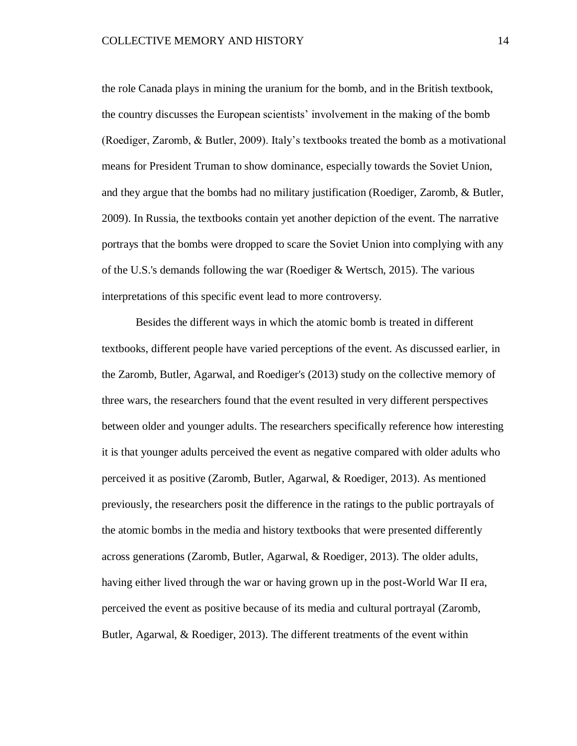the role Canada plays in mining the uranium for the bomb, and in the British textbook, the country discusses the European scientists' involvement in the making of the bomb (Roediger, Zaromb, & Butler, 2009). Italy's textbooks treated the bomb as a motivational means for President Truman to show dominance, especially towards the Soviet Union, and they argue that the bombs had no military justification (Roediger, Zaromb, & Butler, 2009). In Russia, the textbooks contain yet another depiction of the event. The narrative portrays that the bombs were dropped to scare the Soviet Union into complying with any of the U.S.'s demands following the war (Roediger & Wertsch, 2015). The various interpretations of this specific event lead to more controversy.

Besides the different ways in which the atomic bomb is treated in different textbooks, different people have varied perceptions of the event. As discussed earlier, in the Zaromb, Butler, Agarwal, and Roediger's (2013) study on the collective memory of three wars, the researchers found that the event resulted in very different perspectives between older and younger adults. The researchers specifically reference how interesting it is that younger adults perceived the event as negative compared with older adults who perceived it as positive (Zaromb, Butler, Agarwal, & Roediger, 2013). As mentioned previously, the researchers posit the difference in the ratings to the public portrayals of the atomic bombs in the media and history textbooks that were presented differently across generations (Zaromb, Butler, Agarwal, & Roediger, 2013). The older adults, having either lived through the war or having grown up in the post-World War II era, perceived the event as positive because of its media and cultural portrayal (Zaromb, Butler, Agarwal, & Roediger, 2013). The different treatments of the event within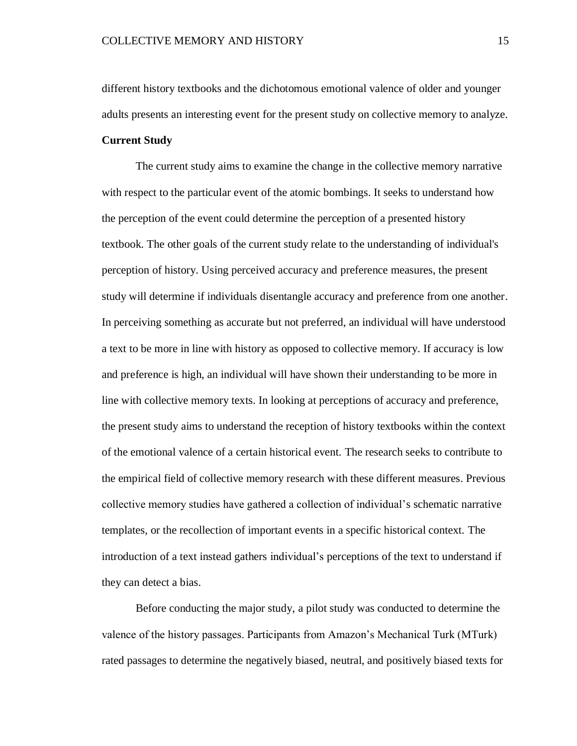different history textbooks and the dichotomous emotional valence of older and younger adults presents an interesting event for the present study on collective memory to analyze. **Current Study**

The current study aims to examine the change in the collective memory narrative with respect to the particular event of the atomic bombings. It seeks to understand how the perception of the event could determine the perception of a presented history textbook. The other goals of the current study relate to the understanding of individual's perception of history. Using perceived accuracy and preference measures, the present study will determine if individuals disentangle accuracy and preference from one another. In perceiving something as accurate but not preferred, an individual will have understood a text to be more in line with history as opposed to collective memory. If accuracy is low and preference is high, an individual will have shown their understanding to be more in line with collective memory texts. In looking at perceptions of accuracy and preference, the present study aims to understand the reception of history textbooks within the context of the emotional valence of a certain historical event. The research seeks to contribute to the empirical field of collective memory research with these different measures. Previous collective memory studies have gathered a collection of individual's schematic narrative templates, or the recollection of important events in a specific historical context. The introduction of a text instead gathers individual's perceptions of the text to understand if they can detect a bias.

Before conducting the major study, a pilot study was conducted to determine the valence of the history passages. Participants from Amazon's Mechanical Turk (MTurk) rated passages to determine the negatively biased, neutral, and positively biased texts for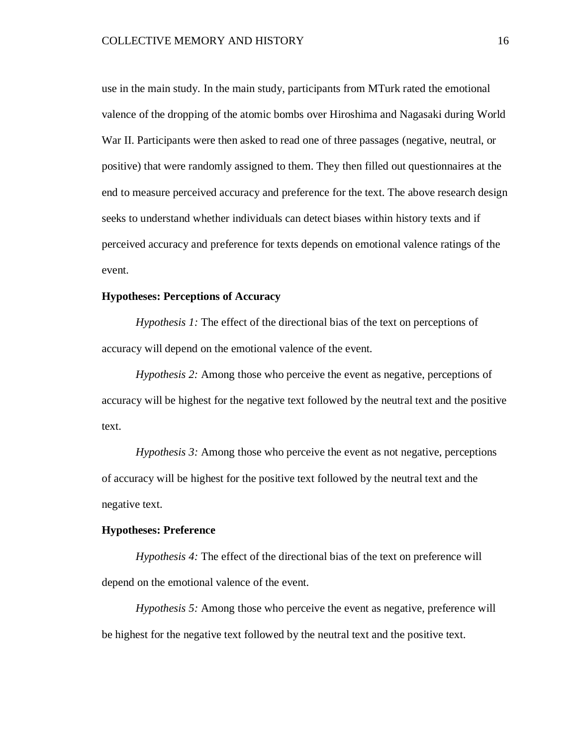use in the main study. In the main study, participants from MTurk rated the emotional valence of the dropping of the atomic bombs over Hiroshima and Nagasaki during World War II. Participants were then asked to read one of three passages (negative, neutral, or positive) that were randomly assigned to them. They then filled out questionnaires at the end to measure perceived accuracy and preference for the text. The above research design seeks to understand whether individuals can detect biases within history texts and if perceived accuracy and preference for texts depends on emotional valence ratings of the event.

#### **Hypotheses: Perceptions of Accuracy**

*Hypothesis 1:* The effect of the directional bias of the text on perceptions of accuracy will depend on the emotional valence of the event.

*Hypothesis 2:* Among those who perceive the event as negative, perceptions of accuracy will be highest for the negative text followed by the neutral text and the positive text.

*Hypothesis 3:* Among those who perceive the event as not negative, perceptions of accuracy will be highest for the positive text followed by the neutral text and the negative text.

#### **Hypotheses: Preference**

*Hypothesis 4:* The effect of the directional bias of the text on preference will depend on the emotional valence of the event.

*Hypothesis 5:* Among those who perceive the event as negative, preference will be highest for the negative text followed by the neutral text and the positive text.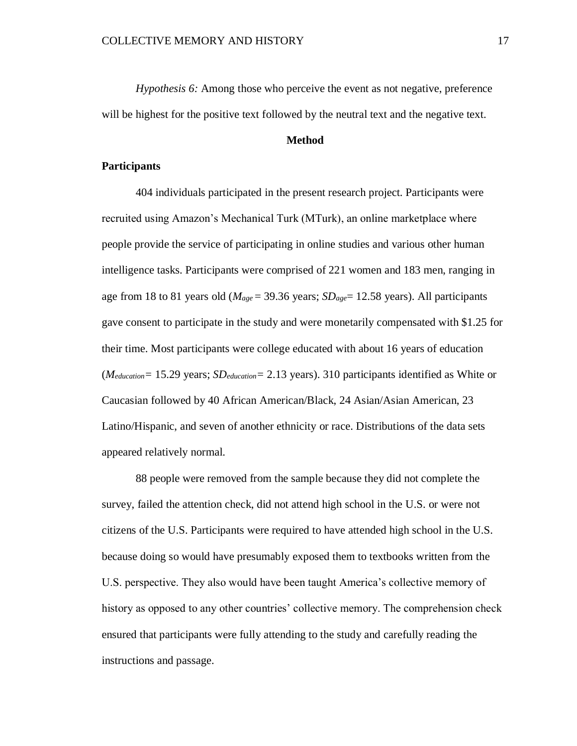*Hypothesis 6:* Among those who perceive the event as not negative, preference will be highest for the positive text followed by the neutral text and the negative text.

#### **Method**

#### **Participants**

404 individuals participated in the present research project. Participants were recruited using Amazon's Mechanical Turk (MTurk), an online marketplace where people provide the service of participating in online studies and various other human intelligence tasks. Participants were comprised of 221 women and 183 men, ranging in age from 18 to 81 years old ( $M_{age} = 39.36$  years;  $SD_{age} = 12.58$  years). All participants gave consent to participate in the study and were monetarily compensated with \$1.25 for their time. Most participants were college educated with about 16 years of education (*Meducation=* 15.29 years; *SDeducation=* 2.13 years). 310 participants identified as White or Caucasian followed by 40 African American/Black, 24 Asian/Asian American, 23 Latino/Hispanic, and seven of another ethnicity or race. Distributions of the data sets appeared relatively normal.

88 people were removed from the sample because they did not complete the survey, failed the attention check, did not attend high school in the U.S. or were not citizens of the U.S. Participants were required to have attended high school in the U.S. because doing so would have presumably exposed them to textbooks written from the U.S. perspective. They also would have been taught America's collective memory of history as opposed to any other countries' collective memory. The comprehension check ensured that participants were fully attending to the study and carefully reading the instructions and passage.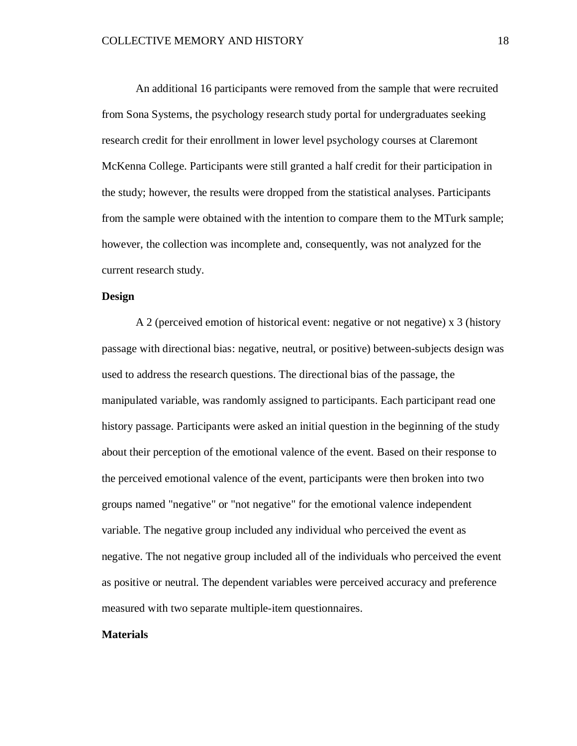An additional 16 participants were removed from the sample that were recruited from Sona Systems, the psychology research study portal for undergraduates seeking research credit for their enrollment in lower level psychology courses at Claremont McKenna College. Participants were still granted a half credit for their participation in the study; however, the results were dropped from the statistical analyses. Participants from the sample were obtained with the intention to compare them to the MTurk sample; however, the collection was incomplete and, consequently, was not analyzed for the current research study.

#### **Design**

A 2 (perceived emotion of historical event: negative or not negative) x 3 (history passage with directional bias: negative, neutral, or positive) between-subjects design was used to address the research questions. The directional bias of the passage, the manipulated variable, was randomly assigned to participants. Each participant read one history passage. Participants were asked an initial question in the beginning of the study about their perception of the emotional valence of the event. Based on their response to the perceived emotional valence of the event, participants were then broken into two groups named "negative" or "not negative" for the emotional valence independent variable. The negative group included any individual who perceived the event as negative. The not negative group included all of the individuals who perceived the event as positive or neutral. The dependent variables were perceived accuracy and preference measured with two separate multiple-item questionnaires.

#### **Materials**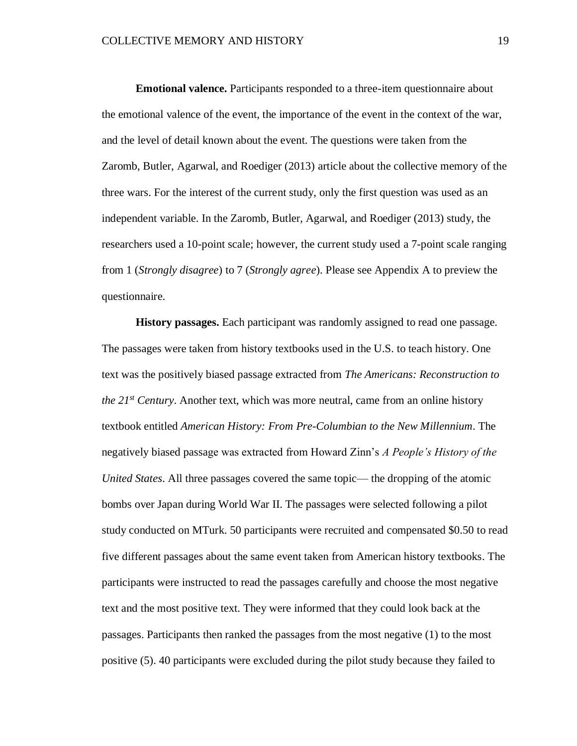**Emotional valence.** Participants responded to a three-item questionnaire about the emotional valence of the event, the importance of the event in the context of the war, and the level of detail known about the event. The questions were taken from the Zaromb, Butler, Agarwal, and Roediger (2013) article about the collective memory of the three wars. For the interest of the current study, only the first question was used as an independent variable. In the Zaromb, Butler, Agarwal, and Roediger (2013) study, the researchers used a 10-point scale; however, the current study used a 7-point scale ranging from 1 (*Strongly disagree*) to 7 (*Strongly agree*). Please see Appendix A to preview the questionnaire.

**History passages.** Each participant was randomly assigned to read one passage. The passages were taken from history textbooks used in the U.S. to teach history. One text was the positively biased passage extracted from *The Americans: Reconstruction to the 21st Century*. Another text, which was more neutral, came from an online history textbook entitled *American History: From Pre-Columbian to the New Millennium*. The negatively biased passage was extracted from Howard Zinn's *A People's History of the United States*. All three passages covered the same topic— the dropping of the atomic bombs over Japan during World War II. The passages were selected following a pilot study conducted on MTurk. 50 participants were recruited and compensated \$0.50 to read five different passages about the same event taken from American history textbooks. The participants were instructed to read the passages carefully and choose the most negative text and the most positive text. They were informed that they could look back at the passages. Participants then ranked the passages from the most negative (1) to the most positive (5). 40 participants were excluded during the pilot study because they failed to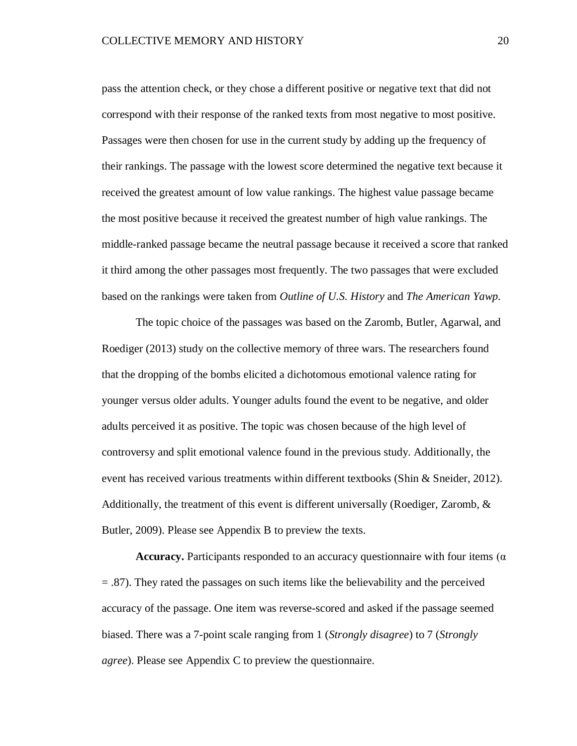pass the attention check, or they chose a different positive or negative text that did not correspond with their response of the ranked texts from most negative to most positive. Passages were then chosen for use in the current study by adding up the frequency of their rankings. The passage with the lowest score determined the negative text because it received the greatest amount of low value rankings. The highest value passage became the most positive because it received the greatest number of high value rankings. The middle-ranked passage became the neutral passage because it received a score that ranked it third among the other passages most frequently. The two passages that were excluded based on the rankings were taken from *Outline of U.S. History* and *The American Yawp.*

The topic choice of the passages was based on the Zaromb, Butler, Agarwal, and Roediger (2013) study on the collective memory of three wars. The researchers found that the dropping of the bombs elicited a dichotomous emotional valence rating for younger versus older adults. Younger adults found the event to be negative, and older adults perceived it as positive. The topic was chosen because of the high level of controversy and split emotional valence found in the previous study. Additionally, the event has received various treatments within different textbooks (Shin & Sneider, 2012). Additionally, the treatment of this event is different universally (Roediger, Zaromb,  $\&$ Butler, 2009). Please see Appendix B to preview the texts.

**Accuracy.** Participants responded to an accuracy questionnaire with four items ( $\alpha$ ) = .87). They rated the passages on such items like the believability and the perceived accuracy of the passage. One item was reverse-scored and asked if the passage seemed biased. There was a 7-point scale ranging from 1 (*Strongly disagree*) to 7 (*Strongly agree*). Please see Appendix C to preview the questionnaire.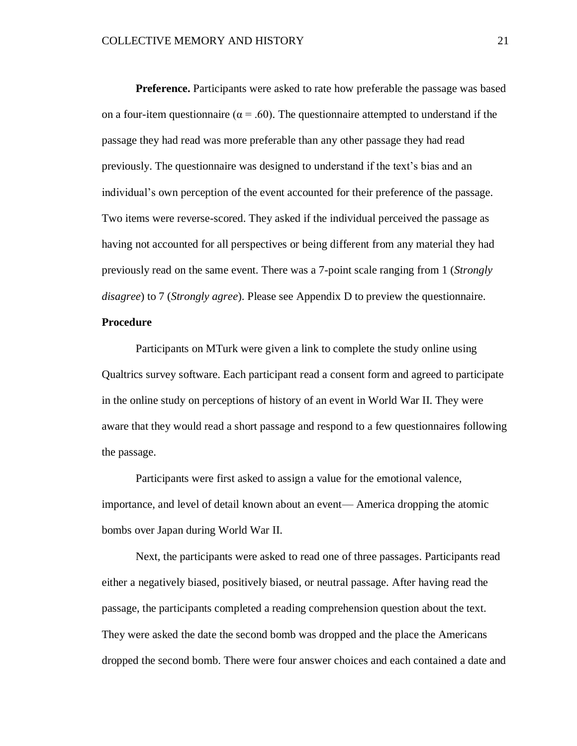**Preference.** Participants were asked to rate how preferable the passage was based on a four-item questionnaire ( $\alpha = .60$ ). The questionnaire attempted to understand if the passage they had read was more preferable than any other passage they had read previously. The questionnaire was designed to understand if the text's bias and an individual's own perception of the event accounted for their preference of the passage. Two items were reverse-scored. They asked if the individual perceived the passage as having not accounted for all perspectives or being different from any material they had previously read on the same event. There was a 7-point scale ranging from 1 (*Strongly disagree*) to 7 (*Strongly agree*). Please see Appendix D to preview the questionnaire.

#### **Procedure**

Participants on MTurk were given a link to complete the study online using Qualtrics survey software. Each participant read a consent form and agreed to participate in the online study on perceptions of history of an event in World War II. They were aware that they would read a short passage and respond to a few questionnaires following the passage.

Participants were first asked to assign a value for the emotional valence, importance, and level of detail known about an event— America dropping the atomic bombs over Japan during World War II.

Next, the participants were asked to read one of three passages. Participants read either a negatively biased, positively biased, or neutral passage. After having read the passage, the participants completed a reading comprehension question about the text. They were asked the date the second bomb was dropped and the place the Americans dropped the second bomb. There were four answer choices and each contained a date and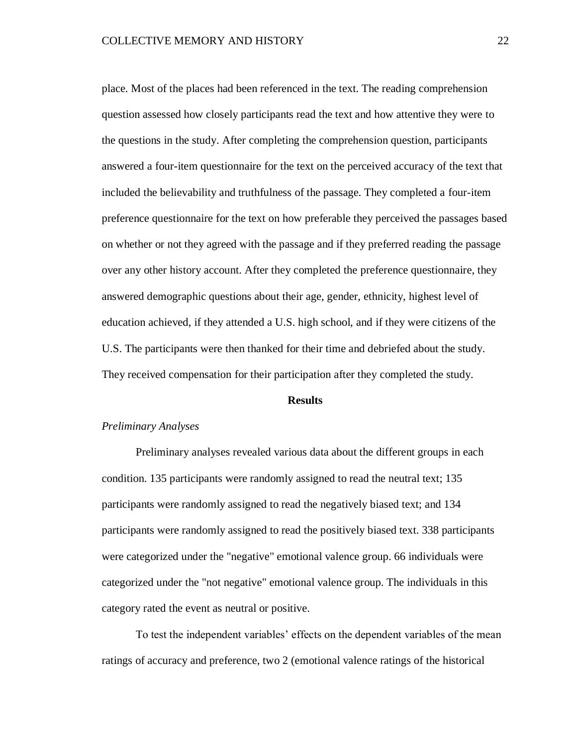place. Most of the places had been referenced in the text. The reading comprehension question assessed how closely participants read the text and how attentive they were to the questions in the study. After completing the comprehension question, participants answered a four-item questionnaire for the text on the perceived accuracy of the text that included the believability and truthfulness of the passage. They completed a four-item preference questionnaire for the text on how preferable they perceived the passages based on whether or not they agreed with the passage and if they preferred reading the passage over any other history account. After they completed the preference questionnaire, they answered demographic questions about their age, gender, ethnicity, highest level of education achieved, if they attended a U.S. high school, and if they were citizens of the U.S. The participants were then thanked for their time and debriefed about the study. They received compensation for their participation after they completed the study.

#### **Results**

#### *Preliminary Analyses*

Preliminary analyses revealed various data about the different groups in each condition. 135 participants were randomly assigned to read the neutral text; 135 participants were randomly assigned to read the negatively biased text; and 134 participants were randomly assigned to read the positively biased text. 338 participants were categorized under the "negative" emotional valence group. 66 individuals were categorized under the "not negative" emotional valence group. The individuals in this category rated the event as neutral or positive.

To test the independent variables' effects on the dependent variables of the mean ratings of accuracy and preference, two 2 (emotional valence ratings of the historical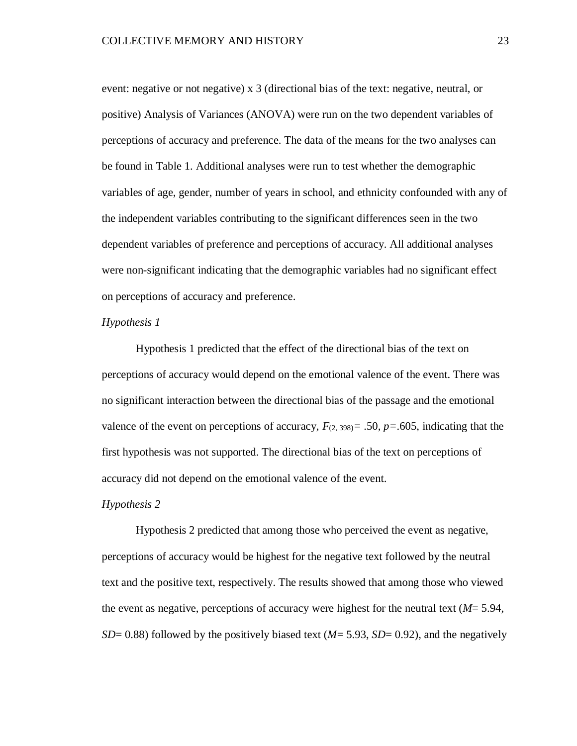event: negative or not negative) x 3 (directional bias of the text: negative, neutral, or positive) Analysis of Variances (ANOVA) were run on the two dependent variables of perceptions of accuracy and preference. The data of the means for the two analyses can be found in Table 1. Additional analyses were run to test whether the demographic variables of age, gender, number of years in school, and ethnicity confounded with any of the independent variables contributing to the significant differences seen in the two dependent variables of preference and perceptions of accuracy. All additional analyses were non-significant indicating that the demographic variables had no significant effect on perceptions of accuracy and preference.

#### *Hypothesis 1*

Hypothesis 1 predicted that the effect of the directional bias of the text on perceptions of accuracy would depend on the emotional valence of the event. There was no significant interaction between the directional bias of the passage and the emotional valence of the event on perceptions of accuracy,  $F_{(2, 398)} = .50$ ,  $p = .605$ , indicating that the first hypothesis was not supported. The directional bias of the text on perceptions of accuracy did not depend on the emotional valence of the event.

#### *Hypothesis 2*

Hypothesis 2 predicted that among those who perceived the event as negative, perceptions of accuracy would be highest for the negative text followed by the neutral text and the positive text, respectively. The results showed that among those who viewed the event as negative, perceptions of accuracy were highest for the neutral text (*M*= 5.94, *SD*= 0.88) followed by the positively biased text (*M*= 5.93, *SD*= 0.92), and the negatively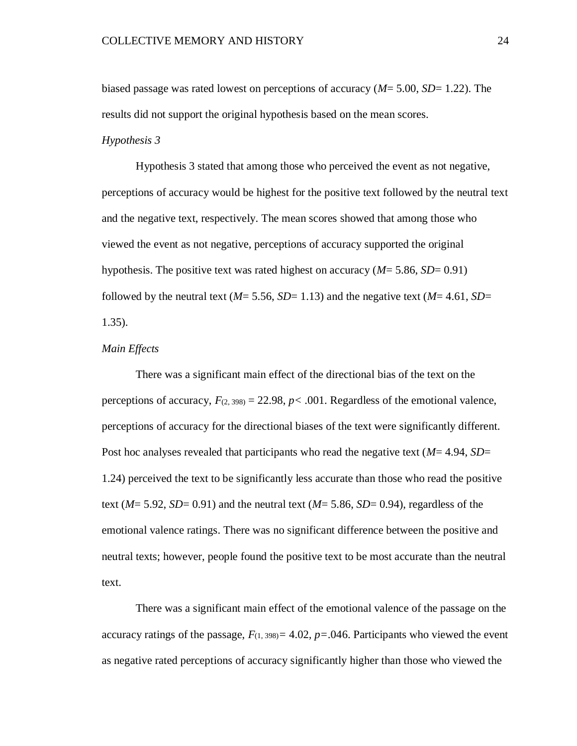biased passage was rated lowest on perceptions of accuracy (*M*= 5.00, *SD*= 1.22). The results did not support the original hypothesis based on the mean scores.

#### *Hypothesis 3*

Hypothesis 3 stated that among those who perceived the event as not negative, perceptions of accuracy would be highest for the positive text followed by the neutral text and the negative text, respectively. The mean scores showed that among those who viewed the event as not negative, perceptions of accuracy supported the original hypothesis. The positive text was rated highest on accuracy (*M*= 5.86, *SD*= 0.91) followed by the neutral text ( $M=5.56$ ,  $SD=1.13$ ) and the negative text ( $M=4.61$ ,  $SD=$ 1.35).

#### *Main Effects*

There was a significant main effect of the directional bias of the text on the perceptions of accuracy,  $F_{(2, 398)} = 22.98$ ,  $p < .001$ . Regardless of the emotional valence, perceptions of accuracy for the directional biases of the text were significantly different. Post hoc analyses revealed that participants who read the negative text (*M*= 4.94, *SD*= 1.24) perceived the text to be significantly less accurate than those who read the positive text ( $M = 5.92$ ,  $SD = 0.91$ ) and the neutral text ( $M = 5.86$ ,  $SD = 0.94$ ), regardless of the emotional valence ratings. There was no significant difference between the positive and neutral texts; however, people found the positive text to be most accurate than the neutral text.

There was a significant main effect of the emotional valence of the passage on the accuracy ratings of the passage,  $F_{(1, 398)} = 4.02$ ,  $p = .046$ . Participants who viewed the event as negative rated perceptions of accuracy significantly higher than those who viewed the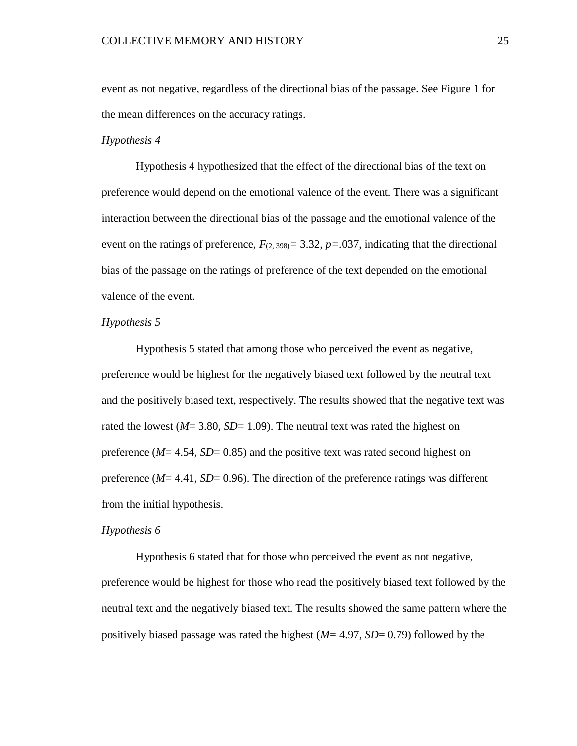event as not negative, regardless of the directional bias of the passage. See Figure 1 for the mean differences on the accuracy ratings.

#### *Hypothesis 4*

Hypothesis 4 hypothesized that the effect of the directional bias of the text on preference would depend on the emotional valence of the event. There was a significant interaction between the directional bias of the passage and the emotional valence of the event on the ratings of preference,  $F_{(2, 398)} = 3.32$ ,  $p = .037$ , indicating that the directional bias of the passage on the ratings of preference of the text depended on the emotional valence of the event.

#### *Hypothesis 5*

Hypothesis 5 stated that among those who perceived the event as negative, preference would be highest for the negatively biased text followed by the neutral text and the positively biased text, respectively. The results showed that the negative text was rated the lowest ( $M = 3.80$ ,  $SD = 1.09$ ). The neutral text was rated the highest on preference  $(M=4.54, SD=0.85)$  and the positive text was rated second highest on preference (*M* = 4.41, *SD* = 0.96). The direction of the preference ratings was different from the initial hypothesis.

#### *Hypothesis 6*

Hypothesis 6 stated that for those who perceived the event as not negative, preference would be highest for those who read the positively biased text followed by the neutral text and the negatively biased text. The results showed the same pattern where the positively biased passage was rated the highest (*M*= 4.97, *SD*= 0.79) followed by the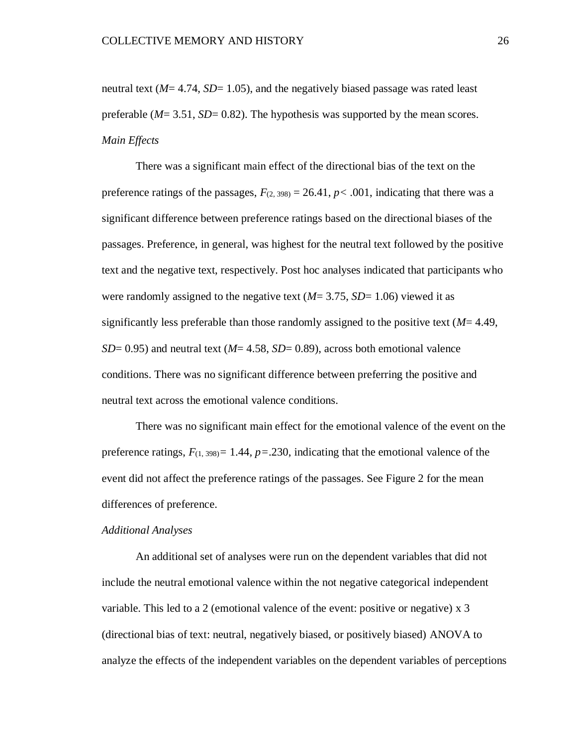neutral text  $(M=4.74, SD=1.05)$ , and the negatively biased passage was rated least preferable (*M*= 3.51, *SD*= 0.82). The hypothesis was supported by the mean scores. *Main Effects*

There was a significant main effect of the directional bias of the text on the preference ratings of the passages,  $F_{(2, 398)} = 26.41$ ,  $p < .001$ , indicating that there was a significant difference between preference ratings based on the directional biases of the passages. Preference, in general, was highest for the neutral text followed by the positive text and the negative text, respectively. Post hoc analyses indicated that participants who were randomly assigned to the negative text  $(M= 3.75, SD= 1.06)$  viewed it as significantly less preferable than those randomly assigned to the positive text (*M*= 4.49, *SD*= 0.95) and neutral text (*M*= 4.58, *SD*= 0.89), across both emotional valence conditions. There was no significant difference between preferring the positive and neutral text across the emotional valence conditions.

There was no significant main effect for the emotional valence of the event on the preference ratings,  $F_{(1, 398)} = 1.44$ ,  $p = 0.230$ , indicating that the emotional valence of the event did not affect the preference ratings of the passages. See Figure 2 for the mean differences of preference.

#### *Additional Analyses*

An additional set of analyses were run on the dependent variables that did not include the neutral emotional valence within the not negative categorical independent variable. This led to a 2 (emotional valence of the event: positive or negative) x 3 (directional bias of text: neutral, negatively biased, or positively biased) ANOVA to analyze the effects of the independent variables on the dependent variables of perceptions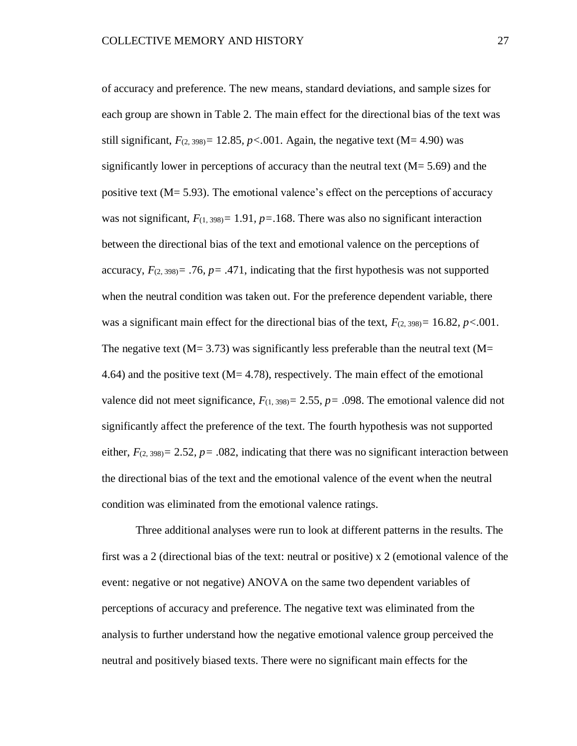of accuracy and preference. The new means, standard deviations, and sample sizes for each group are shown in Table 2. The main effect for the directional bias of the text was still significant,  $F_{(2, 398)} = 12.85$ ,  $p < .001$ . Again, the negative text (M= 4.90) was significantly lower in perceptions of accuracy than the neutral text  $(M = 5.69)$  and the positive text (M= 5.93). The emotional valence's effect on the perceptions of accuracy was not significant,  $F_{(1, 398)} = 1.91$ ,  $p = .168$ . There was also no significant interaction between the directional bias of the text and emotional valence on the perceptions of accuracy,  $F_{(2, 398)} = .76$ ,  $p = .471$ , indicating that the first hypothesis was not supported when the neutral condition was taken out. For the preference dependent variable, there was a significant main effect for the directional bias of the text,  $F_{(2, 398)} = 16.82$ ,  $p < .001$ . The negative text ( $M = 3.73$ ) was significantly less preferable than the neutral text ( $M =$ 4.64) and the positive text ( $M = 4.78$ ), respectively. The main effect of the emotional valence did not meet significance,  $F_{(1, 398)} = 2.55$ ,  $p = .098$ . The emotional valence did not significantly affect the preference of the text. The fourth hypothesis was not supported either,  $F_{(2, 398)} = 2.52$ ,  $p = .082$ , indicating that there was no significant interaction between the directional bias of the text and the emotional valence of the event when the neutral condition was eliminated from the emotional valence ratings.

Three additional analyses were run to look at different patterns in the results. The first was a 2 (directional bias of the text: neutral or positive) x 2 (emotional valence of the event: negative or not negative) ANOVA on the same two dependent variables of perceptions of accuracy and preference. The negative text was eliminated from the analysis to further understand how the negative emotional valence group perceived the neutral and positively biased texts. There were no significant main effects for the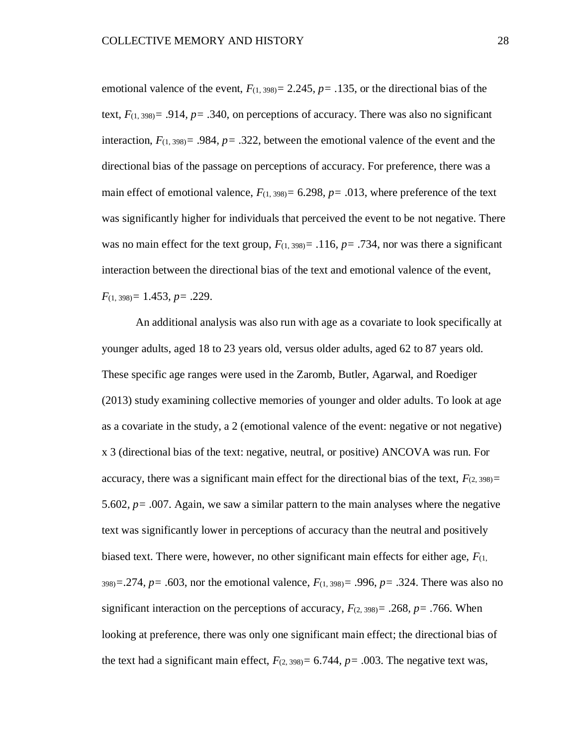emotional valence of the event,  $F_{(1, 398)} = 2.245$ ,  $p = .135$ , or the directional bias of the text,  $F_{(1, 398)} = .914$ ,  $p = .340$ , on perceptions of accuracy. There was also no significant interaction,  $F_{(1, 398)} = .984$ ,  $p = .322$ , between the emotional valence of the event and the directional bias of the passage on perceptions of accuracy. For preference, there was a main effect of emotional valence,  $F_{(1, 398)} = 6.298$ ,  $p = .013$ , where preference of the text was significantly higher for individuals that perceived the event to be not negative. There was no main effect for the text group,  $F_{(1, 398)} = .116$ ,  $p = .734$ , nor was there a significant interaction between the directional bias of the text and emotional valence of the event, *F*(1, 398)*=* 1.453*, p=* .229.

An additional analysis was also run with age as a covariate to look specifically at younger adults, aged 18 to 23 years old, versus older adults, aged 62 to 87 years old. These specific age ranges were used in the Zaromb, Butler, Agarwal, and Roediger (2013) study examining collective memories of younger and older adults. To look at age as a covariate in the study, a 2 (emotional valence of the event: negative or not negative) x 3 (directional bias of the text: negative, neutral, or positive) ANCOVA was run. For accuracy, there was a significant main effect for the directional bias of the text,  $F_{(2, 398)} =$ 5.602*, p=* .007. Again, we saw a similar pattern to the main analyses where the negative text was significantly lower in perceptions of accuracy than the neutral and positively biased text. There were, however, no other significant main effects for either age,  $F_{(1)}$ ,  $398$ ) $=$ .274*, p* $=$  .603, nor the emotional valence,  $F_{(1, 398)}$  $=$  .996*, p* $=$  .324. There was also no significant interaction on the perceptions of accuracy,  $F_{(2, 398)} = .268$ ,  $p = .766$ . When looking at preference, there was only one significant main effect; the directional bias of the text had a significant main effect,  $F_{(2, 398)} = 6.744$ ,  $p = .003$ . The negative text was,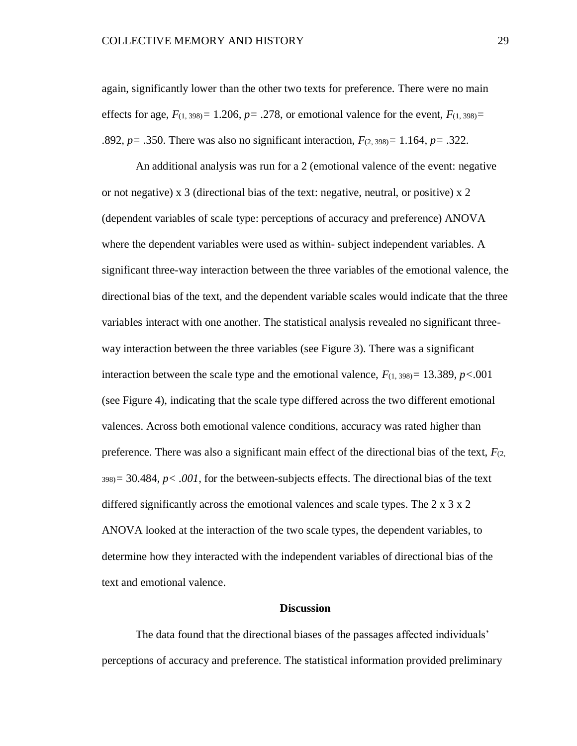again, significantly lower than the other two texts for preference. There were no main effects for age,  $F_{(1, 398)} = 1.206$ ,  $p = .278$ , or emotional valence for the event,  $F_{(1, 398)} =$ .892*, p=* .350. There was also no significant interaction, *F*(2, 398)*=* 1.164*, p=* .322.

An additional analysis was run for a 2 (emotional valence of the event: negative or not negative) x 3 (directional bias of the text: negative, neutral, or positive) x 2 (dependent variables of scale type: perceptions of accuracy and preference) ANOVA where the dependent variables were used as within- subject independent variables. A significant three-way interaction between the three variables of the emotional valence, the directional bias of the text, and the dependent variable scales would indicate that the three variables interact with one another. The statistical analysis revealed no significant threeway interaction between the three variables (see Figure 3). There was a significant interaction between the scale type and the emotional valence,  $F_{(1, 398)} = 13.389$ ,  $p < .001$ (see Figure 4), indicating that the scale type differed across the two different emotional valences. Across both emotional valence conditions, accuracy was rated higher than preference. There was also a significant main effect of the directional bias of the text,  $F_{(2)}$ , 398)*=* 30.484*, p< .001,* for the between-subjects effects. The directional bias of the text differed significantly across the emotional valences and scale types. The 2 x 3 x 2 ANOVA looked at the interaction of the two scale types, the dependent variables, to determine how they interacted with the independent variables of directional bias of the text and emotional valence.

#### **Discussion**

The data found that the directional biases of the passages affected individuals' perceptions of accuracy and preference. The statistical information provided preliminary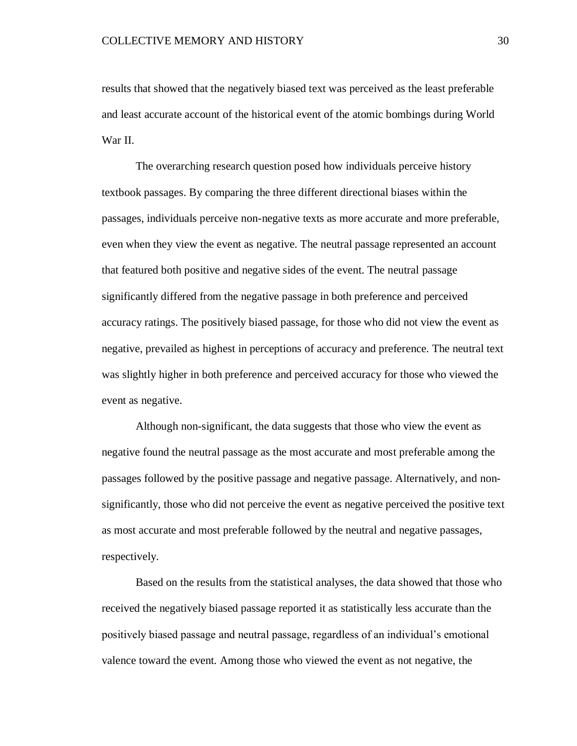results that showed that the negatively biased text was perceived as the least preferable and least accurate account of the historical event of the atomic bombings during World War II.

The overarching research question posed how individuals perceive history textbook passages. By comparing the three different directional biases within the passages, individuals perceive non-negative texts as more accurate and more preferable, even when they view the event as negative. The neutral passage represented an account that featured both positive and negative sides of the event. The neutral passage significantly differed from the negative passage in both preference and perceived accuracy ratings. The positively biased passage, for those who did not view the event as negative, prevailed as highest in perceptions of accuracy and preference. The neutral text was slightly higher in both preference and perceived accuracy for those who viewed the event as negative.

Although non-significant, the data suggests that those who view the event as negative found the neutral passage as the most accurate and most preferable among the passages followed by the positive passage and negative passage. Alternatively, and nonsignificantly, those who did not perceive the event as negative perceived the positive text as most accurate and most preferable followed by the neutral and negative passages, respectively.

Based on the results from the statistical analyses, the data showed that those who received the negatively biased passage reported it as statistically less accurate than the positively biased passage and neutral passage, regardless of an individual's emotional valence toward the event. Among those who viewed the event as not negative, the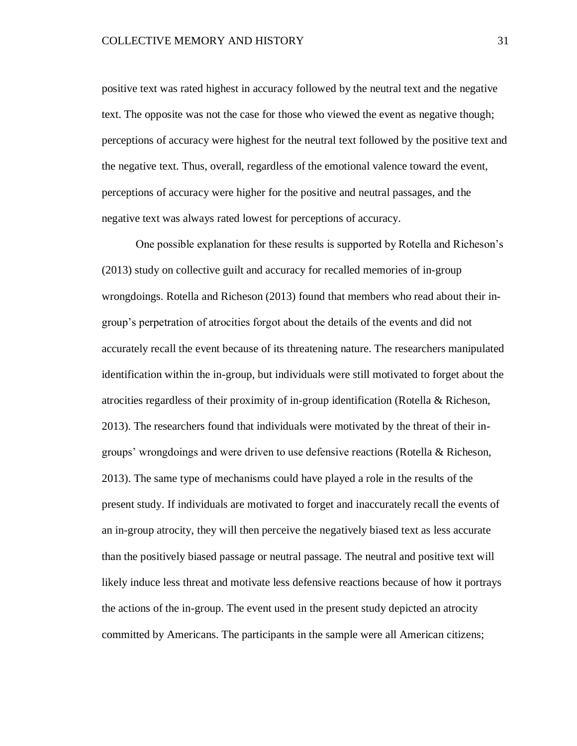positive text was rated highest in accuracy followed by the neutral text and the negative text. The opposite was not the case for those who viewed the event as negative though; perceptions of accuracy were highest for the neutral text followed by the positive text and the negative text. Thus, overall, regardless of the emotional valence toward the event, perceptions of accuracy were higher for the positive and neutral passages, and the negative text was always rated lowest for perceptions of accuracy.

One possible explanation for these results is supported by Rotella and Richeson's (2013) study on collective guilt and accuracy for recalled memories of in-group wrongdoings. Rotella and Richeson (2013) found that members who read about their ingroup's perpetration of atrocities forgot about the details of the events and did not accurately recall the event because of its threatening nature. The researchers manipulated identification within the in-group, but individuals were still motivated to forget about the atrocities regardless of their proximity of in-group identification (Rotella & Richeson, 2013). The researchers found that individuals were motivated by the threat of their ingroups' wrongdoings and were driven to use defensive reactions (Rotella & Richeson, 2013). The same type of mechanisms could have played a role in the results of the present study. If individuals are motivated to forget and inaccurately recall the events of an in-group atrocity, they will then perceive the negatively biased text as less accurate than the positively biased passage or neutral passage. The neutral and positive text will likely induce less threat and motivate less defensive reactions because of how it portrays the actions of the in-group. The event used in the present study depicted an atrocity committed by Americans. The participants in the sample were all American citizens;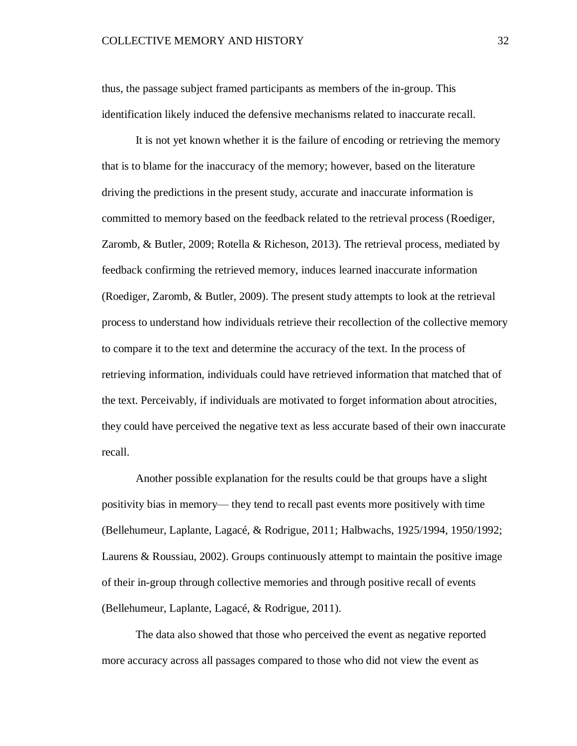thus, the passage subject framed participants as members of the in-group. This identification likely induced the defensive mechanisms related to inaccurate recall.

It is not yet known whether it is the failure of encoding or retrieving the memory that is to blame for the inaccuracy of the memory; however, based on the literature driving the predictions in the present study, accurate and inaccurate information is committed to memory based on the feedback related to the retrieval process (Roediger, Zaromb, & Butler, 2009; Rotella & Richeson, 2013). The retrieval process, mediated by feedback confirming the retrieved memory, induces learned inaccurate information (Roediger, Zaromb, & Butler, 2009). The present study attempts to look at the retrieval process to understand how individuals retrieve their recollection of the collective memory to compare it to the text and determine the accuracy of the text. In the process of retrieving information, individuals could have retrieved information that matched that of the text. Perceivably, if individuals are motivated to forget information about atrocities, they could have perceived the negative text as less accurate based of their own inaccurate recall.

Another possible explanation for the results could be that groups have a slight positivity bias in memory— they tend to recall past events more positively with time (Bellehumeur, Laplante, Lagacé, & Rodrigue, 2011; Halbwachs, 1925/1994, 1950/1992; Laurens & Roussiau, 2002). Groups continuously attempt to maintain the positive image of their in-group through collective memories and through positive recall of events (Bellehumeur, Laplante, Lagacé, & Rodrigue, 2011).

The data also showed that those who perceived the event as negative reported more accuracy across all passages compared to those who did not view the event as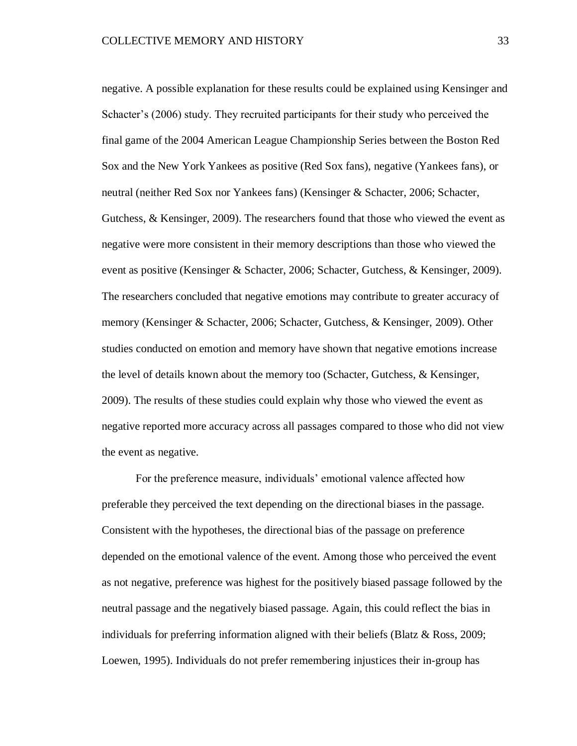negative. A possible explanation for these results could be explained using Kensinger and Schacter's (2006) study. They recruited participants for their study who perceived the final game of the 2004 American League Championship Series between the Boston Red Sox and the New York Yankees as positive (Red Sox fans), negative (Yankees fans), or neutral (neither Red Sox nor Yankees fans) (Kensinger & Schacter, 2006; Schacter, Gutchess, & Kensinger, 2009). The researchers found that those who viewed the event as negative were more consistent in their memory descriptions than those who viewed the event as positive (Kensinger & Schacter, 2006; Schacter, Gutchess, & Kensinger, 2009). The researchers concluded that negative emotions may contribute to greater accuracy of memory (Kensinger & Schacter, 2006; Schacter, Gutchess, & Kensinger, 2009). Other studies conducted on emotion and memory have shown that negative emotions increase the level of details known about the memory too (Schacter, Gutchess, & Kensinger, 2009). The results of these studies could explain why those who viewed the event as negative reported more accuracy across all passages compared to those who did not view the event as negative.

For the preference measure, individuals' emotional valence affected how preferable they perceived the text depending on the directional biases in the passage. Consistent with the hypotheses, the directional bias of the passage on preference depended on the emotional valence of the event. Among those who perceived the event as not negative, preference was highest for the positively biased passage followed by the neutral passage and the negatively biased passage. Again, this could reflect the bias in individuals for preferring information aligned with their beliefs (Blatz & Ross, 2009; Loewen, 1995). Individuals do not prefer remembering injustices their in-group has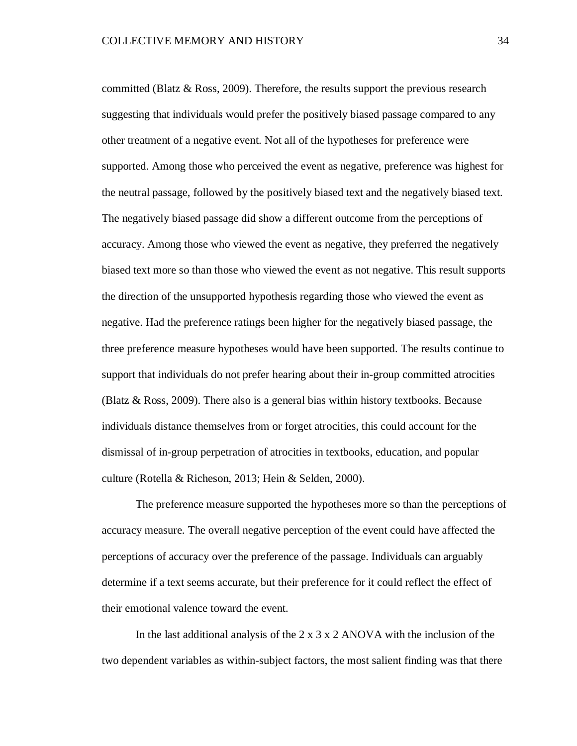committed (Blatz & Ross, 2009). Therefore, the results support the previous research suggesting that individuals would prefer the positively biased passage compared to any other treatment of a negative event. Not all of the hypotheses for preference were supported. Among those who perceived the event as negative, preference was highest for the neutral passage, followed by the positively biased text and the negatively biased text. The negatively biased passage did show a different outcome from the perceptions of accuracy. Among those who viewed the event as negative, they preferred the negatively biased text more so than those who viewed the event as not negative. This result supports the direction of the unsupported hypothesis regarding those who viewed the event as negative. Had the preference ratings been higher for the negatively biased passage, the three preference measure hypotheses would have been supported. The results continue to support that individuals do not prefer hearing about their in-group committed atrocities (Blatz & Ross, 2009). There also is a general bias within history textbooks. Because individuals distance themselves from or forget atrocities, this could account for the dismissal of in-group perpetration of atrocities in textbooks, education, and popular culture (Rotella & Richeson, 2013; Hein & Selden, 2000).

The preference measure supported the hypotheses more so than the perceptions of accuracy measure. The overall negative perception of the event could have affected the perceptions of accuracy over the preference of the passage. Individuals can arguably determine if a text seems accurate, but their preference for it could reflect the effect of their emotional valence toward the event.

In the last additional analysis of the 2 x 3 x 2 ANOVA with the inclusion of the two dependent variables as within-subject factors, the most salient finding was that there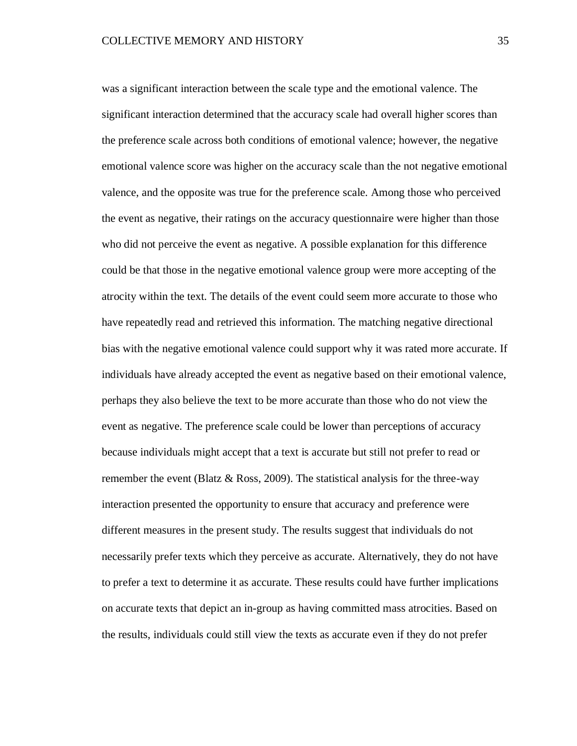was a significant interaction between the scale type and the emotional valence. The significant interaction determined that the accuracy scale had overall higher scores than the preference scale across both conditions of emotional valence; however, the negative emotional valence score was higher on the accuracy scale than the not negative emotional valence, and the opposite was true for the preference scale. Among those who perceived the event as negative, their ratings on the accuracy questionnaire were higher than those who did not perceive the event as negative. A possible explanation for this difference could be that those in the negative emotional valence group were more accepting of the atrocity within the text. The details of the event could seem more accurate to those who have repeatedly read and retrieved this information. The matching negative directional bias with the negative emotional valence could support why it was rated more accurate. If individuals have already accepted the event as negative based on their emotional valence, perhaps they also believe the text to be more accurate than those who do not view the event as negative. The preference scale could be lower than perceptions of accuracy because individuals might accept that a text is accurate but still not prefer to read or remember the event (Blatz  $\&$  Ross, 2009). The statistical analysis for the three-way interaction presented the opportunity to ensure that accuracy and preference were different measures in the present study. The results suggest that individuals do not necessarily prefer texts which they perceive as accurate. Alternatively, they do not have to prefer a text to determine it as accurate. These results could have further implications on accurate texts that depict an in-group as having committed mass atrocities. Based on the results, individuals could still view the texts as accurate even if they do not prefer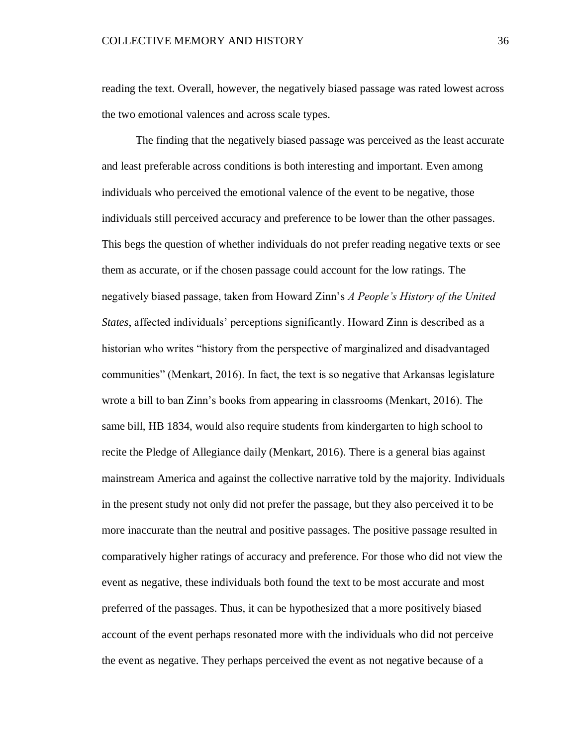reading the text. Overall, however, the negatively biased passage was rated lowest across the two emotional valences and across scale types.

The finding that the negatively biased passage was perceived as the least accurate and least preferable across conditions is both interesting and important. Even among individuals who perceived the emotional valence of the event to be negative, those individuals still perceived accuracy and preference to be lower than the other passages. This begs the question of whether individuals do not prefer reading negative texts or see them as accurate, or if the chosen passage could account for the low ratings. The negatively biased passage, taken from Howard Zinn's *A People's History of the United States*, affected individuals' perceptions significantly. Howard Zinn is described as a historian who writes "history from the perspective of marginalized and disadvantaged communities" (Menkart, 2016). In fact, the text is so negative that Arkansas legislature wrote a bill to ban Zinn's books from appearing in classrooms (Menkart, 2016). The same bill, HB 1834, would also require students from kindergarten to high school to recite the Pledge of Allegiance daily (Menkart, 2016). There is a general bias against mainstream America and against the collective narrative told by the majority. Individuals in the present study not only did not prefer the passage, but they also perceived it to be more inaccurate than the neutral and positive passages. The positive passage resulted in comparatively higher ratings of accuracy and preference. For those who did not view the event as negative, these individuals both found the text to be most accurate and most preferred of the passages. Thus, it can be hypothesized that a more positively biased account of the event perhaps resonated more with the individuals who did not perceive the event as negative. They perhaps perceived the event as not negative because of a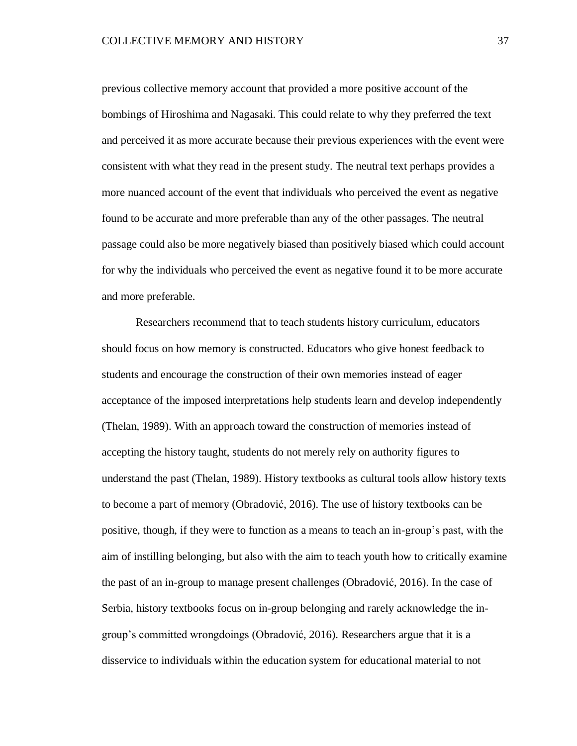previous collective memory account that provided a more positive account of the bombings of Hiroshima and Nagasaki. This could relate to why they preferred the text and perceived it as more accurate because their previous experiences with the event were consistent with what they read in the present study. The neutral text perhaps provides a more nuanced account of the event that individuals who perceived the event as negative found to be accurate and more preferable than any of the other passages. The neutral passage could also be more negatively biased than positively biased which could account for why the individuals who perceived the event as negative found it to be more accurate and more preferable.

Researchers recommend that to teach students history curriculum, educators should focus on how memory is constructed. Educators who give honest feedback to students and encourage the construction of their own memories instead of eager acceptance of the imposed interpretations help students learn and develop independently (Thelan, 1989). With an approach toward the construction of memories instead of accepting the history taught, students do not merely rely on authority figures to understand the past (Thelan, 1989). History textbooks as cultural tools allow history texts to become a part of memory (Obradović, 2016). The use of history textbooks can be positive, though, if they were to function as a means to teach an in-group's past, with the aim of instilling belonging, but also with the aim to teach youth how to critically examine the past of an in-group to manage present challenges (Obradović, 2016). In the case of Serbia, history textbooks focus on in-group belonging and rarely acknowledge the ingroup's committed wrongdoings (Obradović, 2016). Researchers argue that it is a disservice to individuals within the education system for educational material to not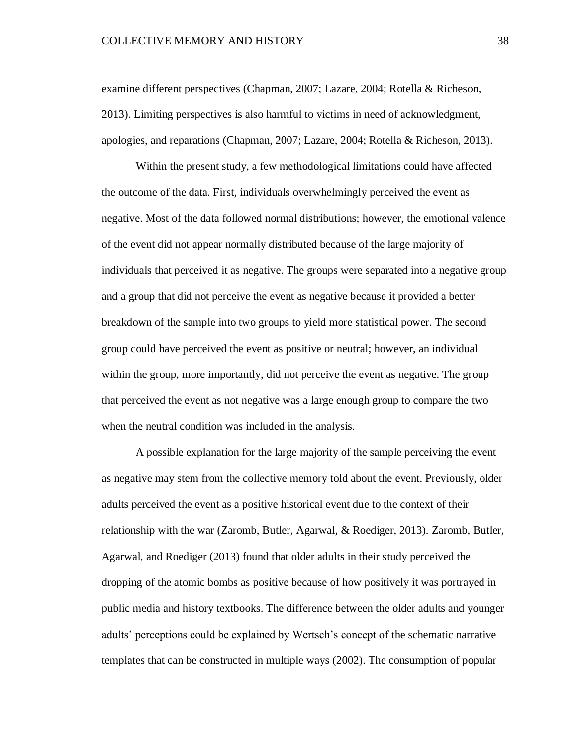examine different perspectives (Chapman, 2007; Lazare, 2004; Rotella & Richeson, 2013). Limiting perspectives is also harmful to victims in need of acknowledgment, apologies, and reparations (Chapman, 2007; Lazare, 2004; Rotella & Richeson, 2013).

Within the present study, a few methodological limitations could have affected the outcome of the data. First, individuals overwhelmingly perceived the event as negative. Most of the data followed normal distributions; however, the emotional valence of the event did not appear normally distributed because of the large majority of individuals that perceived it as negative. The groups were separated into a negative group and a group that did not perceive the event as negative because it provided a better breakdown of the sample into two groups to yield more statistical power. The second group could have perceived the event as positive or neutral; however, an individual within the group, more importantly, did not perceive the event as negative. The group that perceived the event as not negative was a large enough group to compare the two when the neutral condition was included in the analysis.

A possible explanation for the large majority of the sample perceiving the event as negative may stem from the collective memory told about the event. Previously, older adults perceived the event as a positive historical event due to the context of their relationship with the war (Zaromb, Butler, Agarwal, & Roediger, 2013). Zaromb, Butler, Agarwal, and Roediger (2013) found that older adults in their study perceived the dropping of the atomic bombs as positive because of how positively it was portrayed in public media and history textbooks. The difference between the older adults and younger adults' perceptions could be explained by Wertsch's concept of the schematic narrative templates that can be constructed in multiple ways (2002). The consumption of popular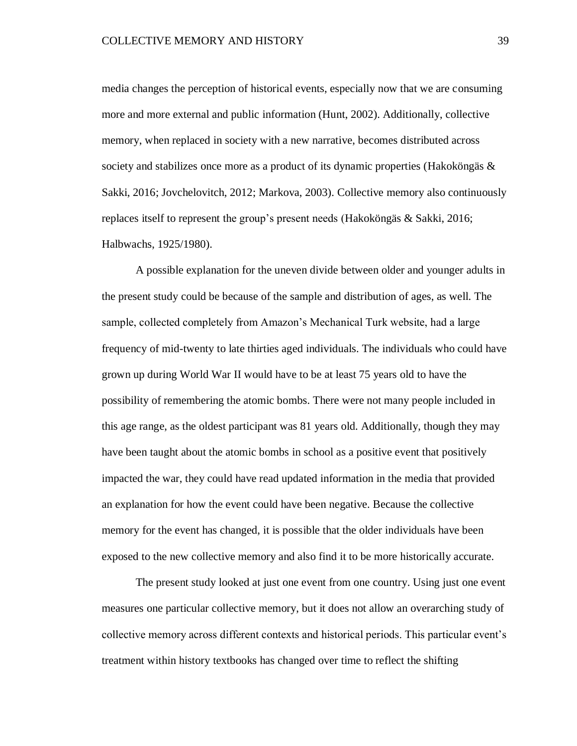media changes the perception of historical events, especially now that we are consuming more and more external and public information (Hunt, 2002). Additionally, collective memory, when replaced in society with a new narrative, becomes distributed across society and stabilizes once more as a product of its dynamic properties (Hakoköngäs  $\&$ Sakki, 2016; Jovchelovitch, 2012; Markova, 2003). Collective memory also continuously replaces itself to represent the group's present needs (Hakoköngäs & Sakki, 2016; Halbwachs, 1925/1980).

A possible explanation for the uneven divide between older and younger adults in the present study could be because of the sample and distribution of ages, as well. The sample, collected completely from Amazon's Mechanical Turk website, had a large frequency of mid-twenty to late thirties aged individuals. The individuals who could have grown up during World War II would have to be at least 75 years old to have the possibility of remembering the atomic bombs. There were not many people included in this age range, as the oldest participant was 81 years old. Additionally, though they may have been taught about the atomic bombs in school as a positive event that positively impacted the war, they could have read updated information in the media that provided an explanation for how the event could have been negative. Because the collective memory for the event has changed, it is possible that the older individuals have been exposed to the new collective memory and also find it to be more historically accurate.

The present study looked at just one event from one country. Using just one event measures one particular collective memory, but it does not allow an overarching study of collective memory across different contexts and historical periods. This particular event's treatment within history textbooks has changed over time to reflect the shifting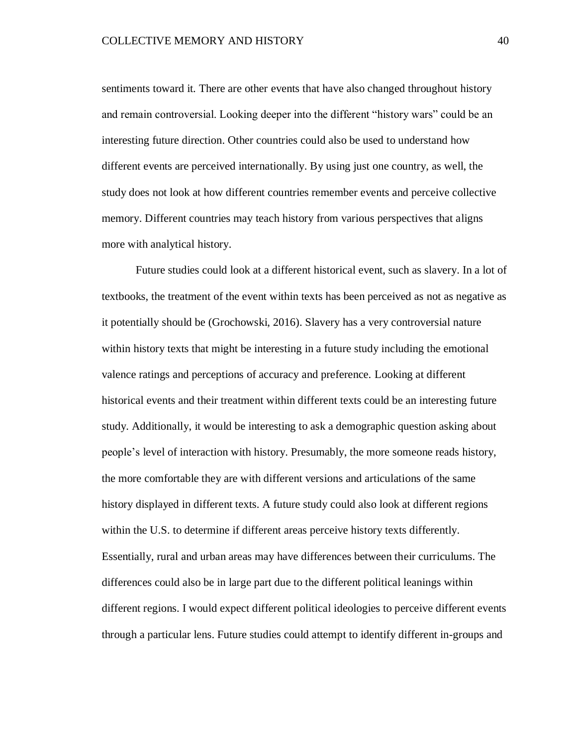sentiments toward it. There are other events that have also changed throughout history and remain controversial. Looking deeper into the different "history wars" could be an interesting future direction. Other countries could also be used to understand how different events are perceived internationally. By using just one country, as well, the study does not look at how different countries remember events and perceive collective memory. Different countries may teach history from various perspectives that aligns more with analytical history.

Future studies could look at a different historical event, such as slavery. In a lot of textbooks, the treatment of the event within texts has been perceived as not as negative as it potentially should be (Grochowski, 2016). Slavery has a very controversial nature within history texts that might be interesting in a future study including the emotional valence ratings and perceptions of accuracy and preference. Looking at different historical events and their treatment within different texts could be an interesting future study. Additionally, it would be interesting to ask a demographic question asking about people's level of interaction with history. Presumably, the more someone reads history, the more comfortable they are with different versions and articulations of the same history displayed in different texts. A future study could also look at different regions within the U.S. to determine if different areas perceive history texts differently. Essentially, rural and urban areas may have differences between their curriculums. The differences could also be in large part due to the different political leanings within different regions. I would expect different political ideologies to perceive different events through a particular lens. Future studies could attempt to identify different in-groups and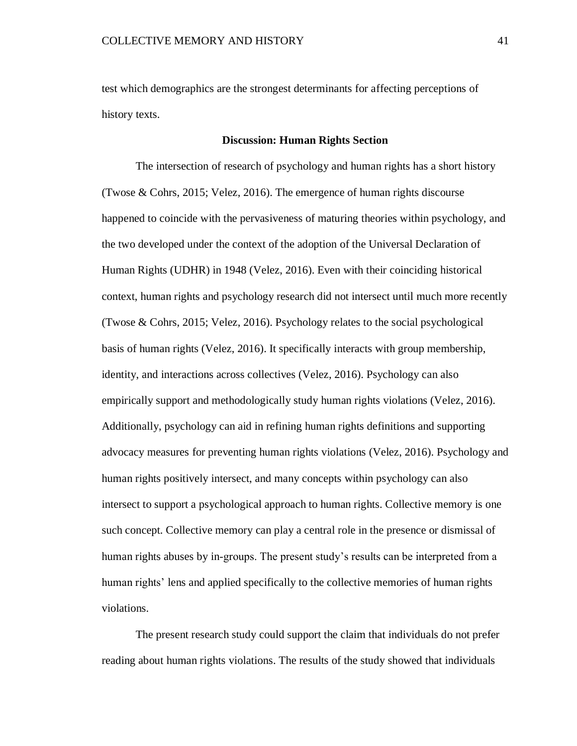test which demographics are the strongest determinants for affecting perceptions of history texts.

### **Discussion: Human Rights Section**

The intersection of research of psychology and human rights has a short history (Twose & Cohrs, 2015; Velez, 2016). The emergence of human rights discourse happened to coincide with the pervasiveness of maturing theories within psychology, and the two developed under the context of the adoption of the Universal Declaration of Human Rights (UDHR) in 1948 (Velez, 2016). Even with their coinciding historical context, human rights and psychology research did not intersect until much more recently (Twose & Cohrs, 2015; Velez, 2016). Psychology relates to the social psychological basis of human rights (Velez, 2016). It specifically interacts with group membership, identity, and interactions across collectives (Velez, 2016). Psychology can also empirically support and methodologically study human rights violations (Velez, 2016). Additionally, psychology can aid in refining human rights definitions and supporting advocacy measures for preventing human rights violations (Velez, 2016). Psychology and human rights positively intersect, and many concepts within psychology can also intersect to support a psychological approach to human rights. Collective memory is one such concept. Collective memory can play a central role in the presence or dismissal of human rights abuses by in-groups. The present study's results can be interpreted from a human rights' lens and applied specifically to the collective memories of human rights violations.

The present research study could support the claim that individuals do not prefer reading about human rights violations. The results of the study showed that individuals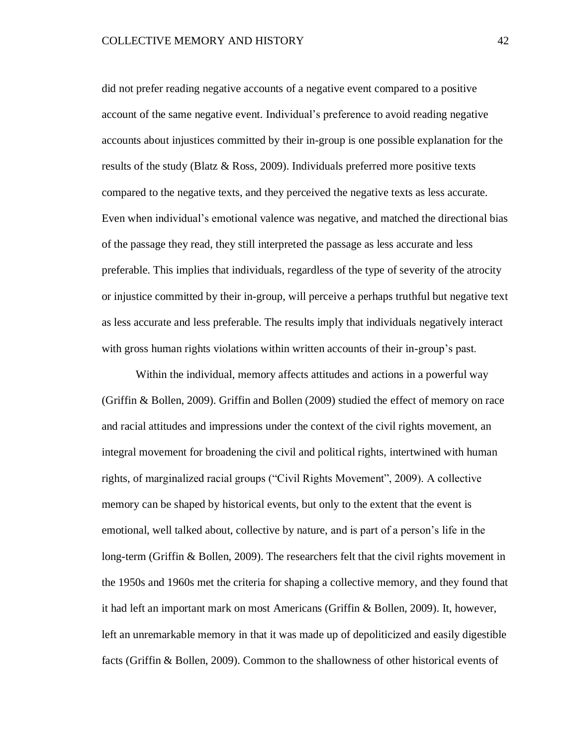did not prefer reading negative accounts of a negative event compared to a positive account of the same negative event. Individual's preference to avoid reading negative accounts about injustices committed by their in-group is one possible explanation for the results of the study (Blatz & Ross, 2009). Individuals preferred more positive texts compared to the negative texts, and they perceived the negative texts as less accurate. Even when individual's emotional valence was negative, and matched the directional bias of the passage they read, they still interpreted the passage as less accurate and less preferable. This implies that individuals, regardless of the type of severity of the atrocity or injustice committed by their in-group, will perceive a perhaps truthful but negative text as less accurate and less preferable. The results imply that individuals negatively interact with gross human rights violations within written accounts of their in-group's past.

Within the individual, memory affects attitudes and actions in a powerful way (Griffin & Bollen, 2009). Griffin and Bollen (2009) studied the effect of memory on race and racial attitudes and impressions under the context of the civil rights movement, an integral movement for broadening the civil and political rights, intertwined with human rights, of marginalized racial groups ("Civil Rights Movement", 2009). A collective memory can be shaped by historical events, but only to the extent that the event is emotional, well talked about, collective by nature, and is part of a person's life in the long-term (Griffin & Bollen, 2009). The researchers felt that the civil rights movement in the 1950s and 1960s met the criteria for shaping a collective memory, and they found that it had left an important mark on most Americans (Griffin & Bollen, 2009). It, however, left an unremarkable memory in that it was made up of depoliticized and easily digestible facts (Griffin & Bollen, 2009). Common to the shallowness of other historical events of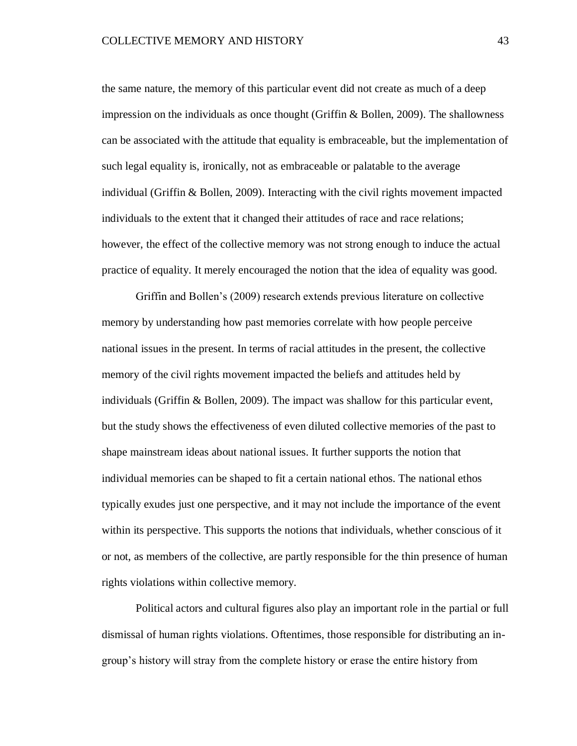the same nature, the memory of this particular event did not create as much of a deep impression on the individuals as once thought (Griffin & Bollen, 2009). The shallowness can be associated with the attitude that equality is embraceable, but the implementation of such legal equality is, ironically, not as embraceable or palatable to the average individual (Griffin & Bollen, 2009). Interacting with the civil rights movement impacted individuals to the extent that it changed their attitudes of race and race relations; however, the effect of the collective memory was not strong enough to induce the actual practice of equality. It merely encouraged the notion that the idea of equality was good.

Griffin and Bollen's (2009) research extends previous literature on collective memory by understanding how past memories correlate with how people perceive national issues in the present. In terms of racial attitudes in the present, the collective memory of the civil rights movement impacted the beliefs and attitudes held by individuals (Griffin & Bollen, 2009). The impact was shallow for this particular event, but the study shows the effectiveness of even diluted collective memories of the past to shape mainstream ideas about national issues. It further supports the notion that individual memories can be shaped to fit a certain national ethos. The national ethos typically exudes just one perspective, and it may not include the importance of the event within its perspective. This supports the notions that individuals, whether conscious of it or not, as members of the collective, are partly responsible for the thin presence of human rights violations within collective memory.

Political actors and cultural figures also play an important role in the partial or full dismissal of human rights violations. Oftentimes, those responsible for distributing an ingroup's history will stray from the complete history or erase the entire history from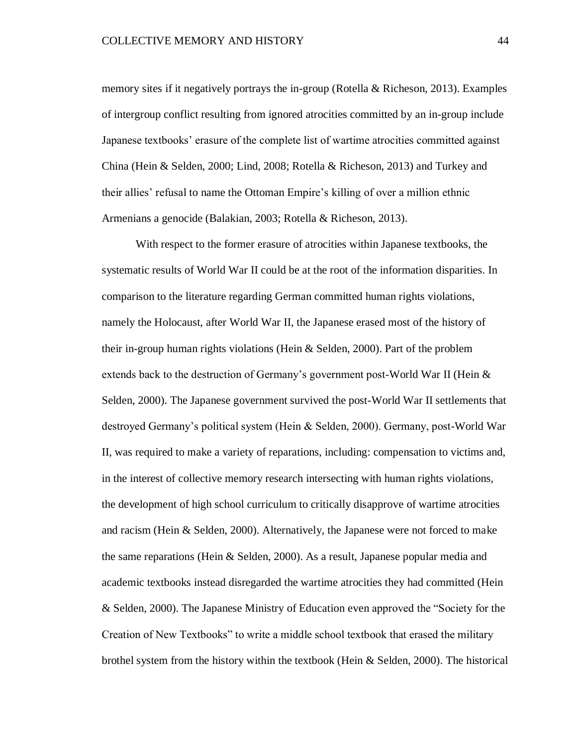memory sites if it negatively portrays the in-group (Rotella & Richeson, 2013). Examples of intergroup conflict resulting from ignored atrocities committed by an in-group include Japanese textbooks' erasure of the complete list of wartime atrocities committed against China (Hein & Selden, 2000; Lind, 2008; Rotella & Richeson, 2013) and Turkey and their allies' refusal to name the Ottoman Empire's killing of over a million ethnic Armenians a genocide (Balakian, 2003; Rotella & Richeson, 2013).

With respect to the former erasure of atrocities within Japanese textbooks, the systematic results of World War II could be at the root of the information disparities. In comparison to the literature regarding German committed human rights violations, namely the Holocaust, after World War II, the Japanese erased most of the history of their in-group human rights violations (Hein & Selden, 2000). Part of the problem extends back to the destruction of Germany's government post-World War II (Hein & Selden, 2000). The Japanese government survived the post-World War II settlements that destroyed Germany's political system (Hein & Selden, 2000). Germany, post-World War II, was required to make a variety of reparations, including: compensation to victims and, in the interest of collective memory research intersecting with human rights violations, the development of high school curriculum to critically disapprove of wartime atrocities and racism (Hein & Selden, 2000). Alternatively, the Japanese were not forced to make the same reparations (Hein & Selden, 2000). As a result, Japanese popular media and academic textbooks instead disregarded the wartime atrocities they had committed (Hein & Selden, 2000). The Japanese Ministry of Education even approved the "Society for the Creation of New Textbooks" to write a middle school textbook that erased the military brothel system from the history within the textbook (Hein & Selden, 2000). The historical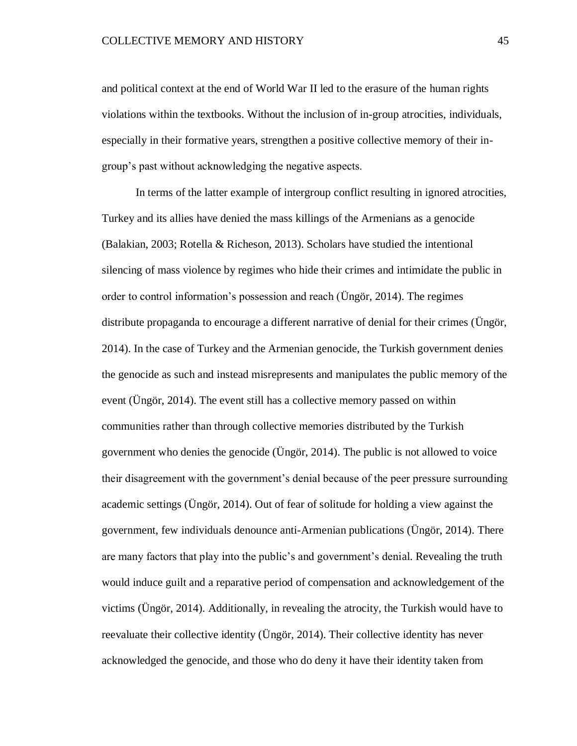and political context at the end of World War II led to the erasure of the human rights violations within the textbooks. Without the inclusion of in-group atrocities, individuals, especially in their formative years, strengthen a positive collective memory of their ingroup's past without acknowledging the negative aspects.

In terms of the latter example of intergroup conflict resulting in ignored atrocities, Turkey and its allies have denied the mass killings of the Armenians as a genocide (Balakian, 2003; Rotella & Richeson, 2013). Scholars have studied the intentional silencing of mass violence by regimes who hide their crimes and intimidate the public in order to control information's possession and reach [\(Üngör,](http://www.tandfonline.com/author/%C3%9Cng%C3%B6r%2C+U%C4%9Fur+%C3%9Cmit) 2014). The regimes distribute propaganda to encourage a different narrative of denial for their crimes [\(Üngör,](http://www.tandfonline.com/author/%C3%9Cng%C3%B6r%2C+U%C4%9Fur+%C3%9Cmit) 2014). In the case of Turkey and the Armenian genocide, the Turkish government denies the genocide as such and instead misrepresents and manipulates the public memory of the event [\(Üngör,](http://www.tandfonline.com/author/%C3%9Cng%C3%B6r%2C+U%C4%9Fur+%C3%9Cmit) 2014). The event still has a collective memory passed on within communities rather than through collective memories distributed by the Turkish government who denies the genocide [\(Üngör,](http://www.tandfonline.com/author/%C3%9Cng%C3%B6r%2C+U%C4%9Fur+%C3%9Cmit) 2014). The public is not allowed to voice their disagreement with the government's denial because of the peer pressure surrounding academic settings [\(Üngör,](http://www.tandfonline.com/author/%C3%9Cng%C3%B6r%2C+U%C4%9Fur+%C3%9Cmit) 2014). Out of fear of solitude for holding a view against the government, few individuals denounce anti-Armenian publications [\(Üngör,](http://www.tandfonline.com/author/%C3%9Cng%C3%B6r%2C+U%C4%9Fur+%C3%9Cmit) 2014). There are many factors that play into the public's and government's denial. Revealing the truth would induce guilt and a reparative period of compensation and acknowledgement of the victims [\(Üngör,](http://www.tandfonline.com/author/%C3%9Cng%C3%B6r%2C+U%C4%9Fur+%C3%9Cmit) 2014). Additionally, in revealing the atrocity, the Turkish would have to reevaluate their collective identity [\(Üngör,](http://www.tandfonline.com/author/%C3%9Cng%C3%B6r%2C+U%C4%9Fur+%C3%9Cmit) 2014). Their collective identity has never acknowledged the genocide, and those who do deny it have their identity taken from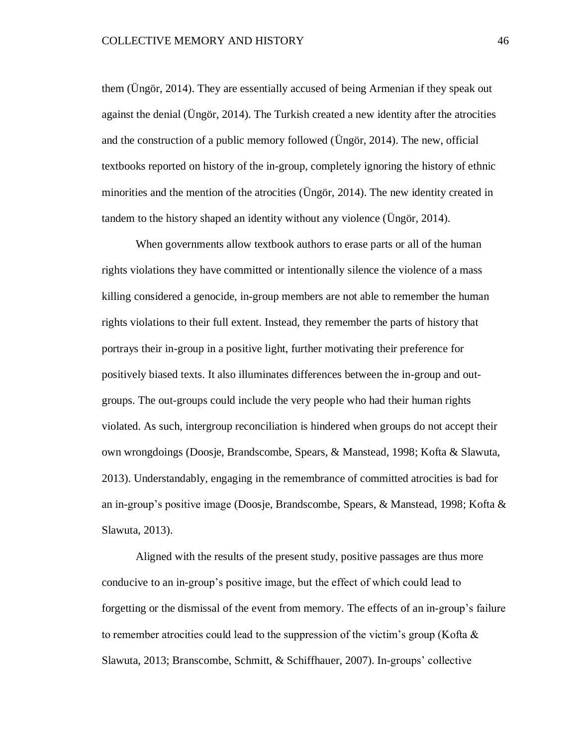them [\(Üngör,](http://www.tandfonline.com/author/%C3%9Cng%C3%B6r%2C+U%C4%9Fur+%C3%9Cmit) 2014). They are essentially accused of being Armenian if they speak out against the denial [\(Üngör,](http://www.tandfonline.com/author/%C3%9Cng%C3%B6r%2C+U%C4%9Fur+%C3%9Cmit) 2014). The Turkish created a new identity after the atrocities and the construction of a public memory followed [\(Üngör,](http://www.tandfonline.com/author/%C3%9Cng%C3%B6r%2C+U%C4%9Fur+%C3%9Cmit) 2014). The new, official textbooks reported on history of the in-group, completely ignoring the history of ethnic minorities and the mention of the atrocities [\(Üngör,](http://www.tandfonline.com/author/%C3%9Cng%C3%B6r%2C+U%C4%9Fur+%C3%9Cmit) 2014). The new identity created in tandem to the history shaped an identity without any violence [\(Üngör,](http://www.tandfonline.com/author/%C3%9Cng%C3%B6r%2C+U%C4%9Fur+%C3%9Cmit) 2014).

When governments allow textbook authors to erase parts or all of the human rights violations they have committed or intentionally silence the violence of a mass killing considered a genocide, in-group members are not able to remember the human rights violations to their full extent. Instead, they remember the parts of history that portrays their in-group in a positive light, further motivating their preference for positively biased texts. It also illuminates differences between the in-group and outgroups. The out-groups could include the very people who had their human rights violated. As such, intergroup reconciliation is hindered when groups do not accept their own wrongdoings (Doosje, Brandscombe, Spears, & Manstead, 1998; Kofta & Slawuta, 2013). Understandably, engaging in the remembrance of committed atrocities is bad for an in-group's positive image (Doosje, Brandscombe, Spears, & Manstead, 1998; Kofta & Slawuta, 2013).

Aligned with the results of the present study, positive passages are thus more conducive to an in-group's positive image, but the effect of which could lead to forgetting or the dismissal of the event from memory. The effects of an in-group's failure to remember atrocities could lead to the suppression of the victim's group (Kofta & Slawuta, 2013; Branscombe, Schmitt, & Schiffhauer, 2007). In-groups' collective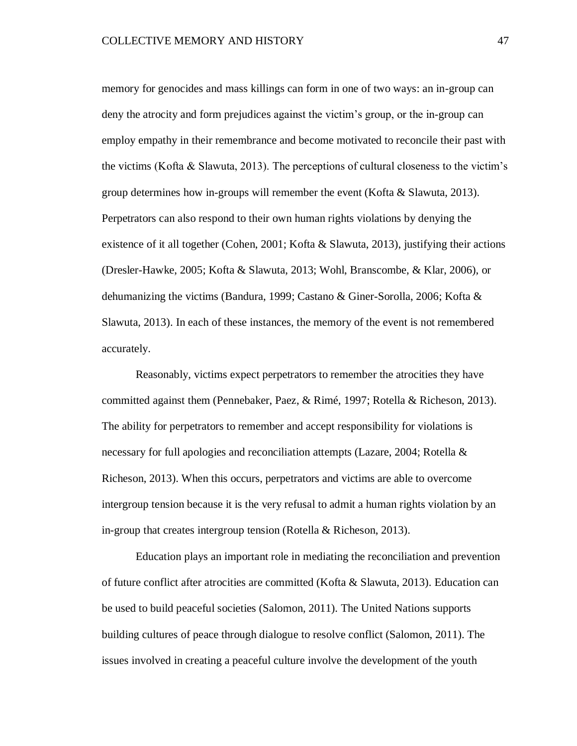memory for genocides and mass killings can form in one of two ways: an in-group can deny the atrocity and form prejudices against the victim's group, or the in-group can employ empathy in their remembrance and become motivated to reconcile their past with the victims (Kofta  $\&$  Slawuta, 2013). The perceptions of cultural closeness to the victim's group determines how in-groups will remember the event (Kofta & Slawuta, 2013). Perpetrators can also respond to their own human rights violations by denying the existence of it all together (Cohen, 2001; Kofta & Slawuta, 2013), justifying their actions (Dresler-Hawke, 2005; Kofta & Slawuta, 2013; Wohl, Branscombe, & Klar, 2006), or dehumanizing the victims (Bandura, 1999; Castano & Giner-Sorolla, 2006; Kofta & Slawuta, 2013). In each of these instances, the memory of the event is not remembered accurately.

Reasonably, victims expect perpetrators to remember the atrocities they have committed against them (Pennebaker, Paez, & Rimé, 1997; Rotella & Richeson, 2013). The ability for perpetrators to remember and accept responsibility for violations is necessary for full apologies and reconciliation attempts (Lazare, 2004; Rotella & Richeson, 2013). When this occurs, perpetrators and victims are able to overcome intergroup tension because it is the very refusal to admit a human rights violation by an in-group that creates intergroup tension (Rotella & Richeson, 2013).

Education plays an important role in mediating the reconciliation and prevention of future conflict after atrocities are committed (Kofta & Slawuta, 2013). Education can be used to build peaceful societies (Salomon, 2011). The United Nations supports building cultures of peace through dialogue to resolve conflict (Salomon, 2011). The issues involved in creating a peaceful culture involve the development of the youth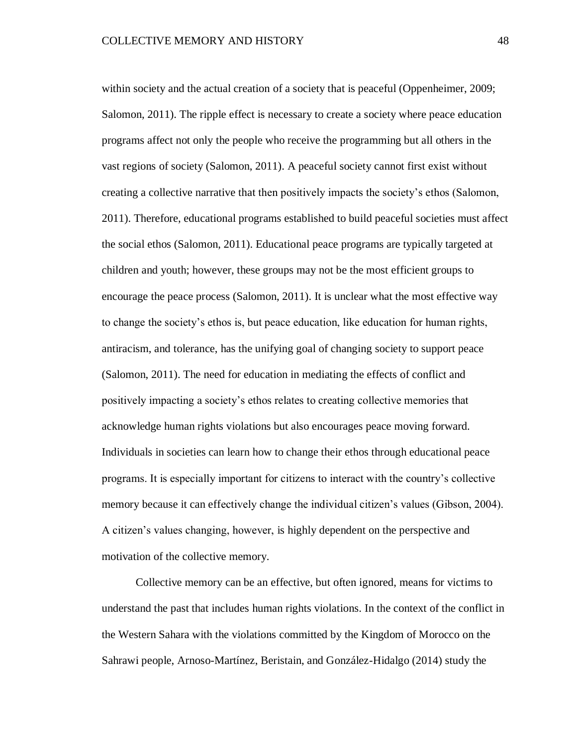within society and the actual creation of a society that is peaceful (Oppenheimer, 2009; Salomon, 2011). The ripple effect is necessary to create a society where peace education programs affect not only the people who receive the programming but all others in the vast regions of society (Salomon, 2011). A peaceful society cannot first exist without creating a collective narrative that then positively impacts the society's ethos (Salomon, 2011). Therefore, educational programs established to build peaceful societies must affect the social ethos (Salomon, 2011). Educational peace programs are typically targeted at children and youth; however, these groups may not be the most efficient groups to encourage the peace process (Salomon, 2011). It is unclear what the most effective way to change the society's ethos is, but peace education, like education for human rights, antiracism, and tolerance, has the unifying goal of changing society to support peace (Salomon, 2011). The need for education in mediating the effects of conflict and positively impacting a society's ethos relates to creating collective memories that acknowledge human rights violations but also encourages peace moving forward. Individuals in societies can learn how to change their ethos through educational peace programs. It is especially important for citizens to interact with the country's collective memory because it can effectively change the individual citizen's values (Gibson, 2004). A citizen's values changing, however, is highly dependent on the perspective and motivation of the collective memory.

Collective memory can be an effective, but often ignored, means for victims to understand the past that includes human rights violations. In the context of the conflict in the Western Sahara with the violations committed by the Kingdom of Morocco on the Sahrawi people, Arnoso-Martínez, Beristain, and González-Hidalgo (2014) study the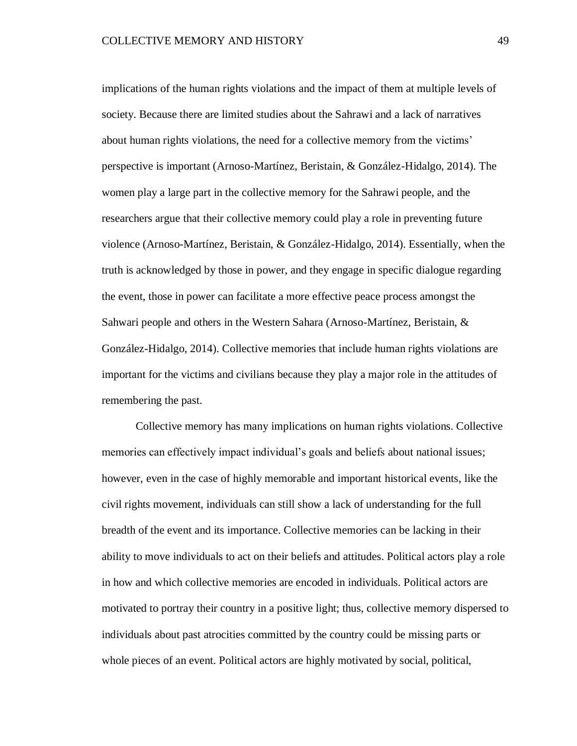implications of the human rights violations and the impact of them at multiple levels of society. Because there are limited studies about the Sahrawi and a lack of narratives about human rights violations, the need for a collective memory from the victims' perspective is important (Arnoso-Martínez, Beristain, & González-Hidalgo, 2014). The women play a large part in the collective memory for the Sahrawi people, and the researchers argue that their collective memory could play a role in preventing future violence (Arnoso-Martínez, Beristain, & González-Hidalgo, 2014). Essentially, when the truth is acknowledged by those in power, and they engage in specific dialogue regarding the event, those in power can facilitate a more effective peace process amongst the Sahwari people and others in the Western Sahara (Arnoso-Martínez, Beristain, & González-Hidalgo, 2014). Collective memories that include human rights violations are important for the victims and civilians because they play a major role in the attitudes of remembering the past.

Collective memory has many implications on human rights violations. Collective memories can effectively impact individual's goals and beliefs about national issues; however, even in the case of highly memorable and important historical events, like the civil rights movement, individuals can still show a lack of understanding for the full breadth of the event and its importance. Collective memories can be lacking in their ability to move individuals to act on their beliefs and attitudes. Political actors play a role in how and which collective memories are encoded in individuals. Political actors are motivated to portray their country in a positive light; thus, collective memory dispersed to individuals about past atrocities committed by the country could be missing parts or whole pieces of an event. Political actors are highly motivated by social, political,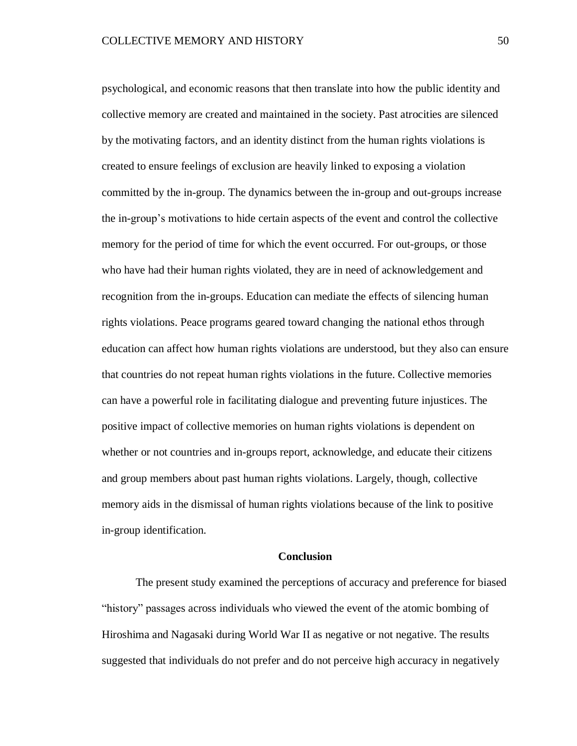psychological, and economic reasons that then translate into how the public identity and collective memory are created and maintained in the society. Past atrocities are silenced by the motivating factors, and an identity distinct from the human rights violations is created to ensure feelings of exclusion are heavily linked to exposing a violation committed by the in-group. The dynamics between the in-group and out-groups increase the in-group's motivations to hide certain aspects of the event and control the collective memory for the period of time for which the event occurred. For out-groups, or those who have had their human rights violated, they are in need of acknowledgement and recognition from the in-groups. Education can mediate the effects of silencing human rights violations. Peace programs geared toward changing the national ethos through education can affect how human rights violations are understood, but they also can ensure that countries do not repeat human rights violations in the future. Collective memories can have a powerful role in facilitating dialogue and preventing future injustices. The positive impact of collective memories on human rights violations is dependent on whether or not countries and in-groups report, acknowledge, and educate their citizens and group members about past human rights violations. Largely, though, collective memory aids in the dismissal of human rights violations because of the link to positive in-group identification.

### **Conclusion**

The present study examined the perceptions of accuracy and preference for biased "history" passages across individuals who viewed the event of the atomic bombing of Hiroshima and Nagasaki during World War II as negative or not negative. The results suggested that individuals do not prefer and do not perceive high accuracy in negatively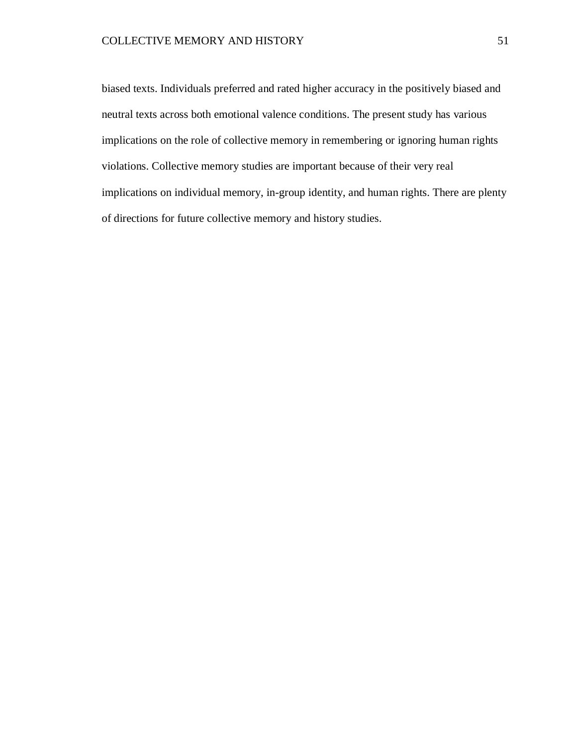biased texts. Individuals preferred and rated higher accuracy in the positively biased and neutral texts across both emotional valence conditions. The present study has various implications on the role of collective memory in remembering or ignoring human rights violations. Collective memory studies are important because of their very real implications on individual memory, in-group identity, and human rights. There are plenty of directions for future collective memory and history studies.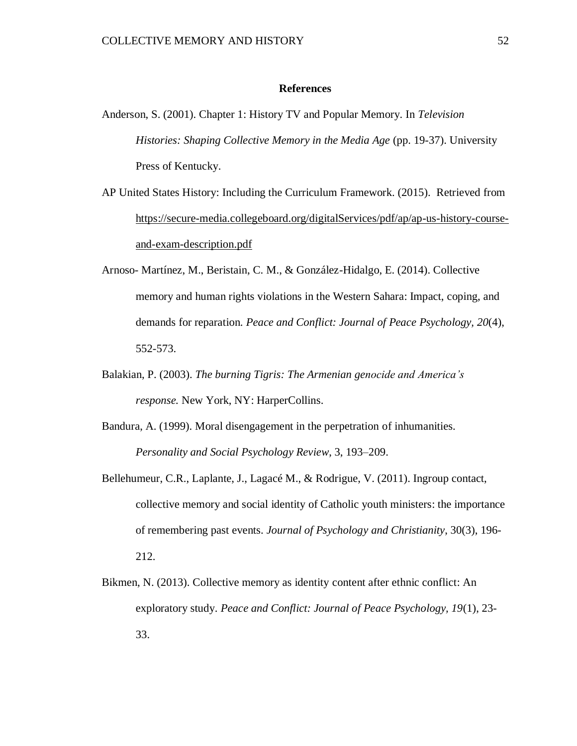## **References**

- Anderson, S. (2001). Chapter 1: History TV and Popular Memory. In *Television Histories: Shaping Collective Memory in the Media Age* (pp. 19-37). University Press of Kentucky.
- AP United States History: Including the Curriculum Framework. (2015). Retrieved from [https://secure-media.collegeboard.org/digitalServices/pdf/ap/ap-us-history-course](https://secure-media.collegeboard.org/digitalServices/pdf/ap/ap-us-history-course-and-)[and-e](https://secure-media.collegeboard.org/digitalServices/pdf/ap/ap-us-history-course-and-)xam-description.pdf
- Arnoso- Martínez, M., Beristain, C. M., & González-Hidalgo, E. (2014). Collective memory and human rights violations in the Western Sahara: Impact, coping, and demands for reparation. *Peace and Conflict: Journal of Peace Psychology, 20*(4), 552-573.
- Balakian, P. (2003). *The burning Tigris: The Armenian genocide and America's response.* New York, NY: HarperCollins.
- Bandura, A. (1999). Moral disengagement in the perpetration of inhumanities. *Personality and Social Psychology Review*, 3, 193–209.
- Bellehumeur, C.R., Laplante, J., Lagacé M., & Rodrigue, V. (2011). Ingroup contact, collective memory and social identity of Catholic youth ministers: the importance of remembering past events. *Journal of Psychology and Christianity*, 30(3), 196- 212.
- Bikmen, N. (2013). Collective memory as identity content after ethnic conflict: An exploratory study. *Peace and Conflict: Journal of Peace Psychology, 19*(1), 23- 33.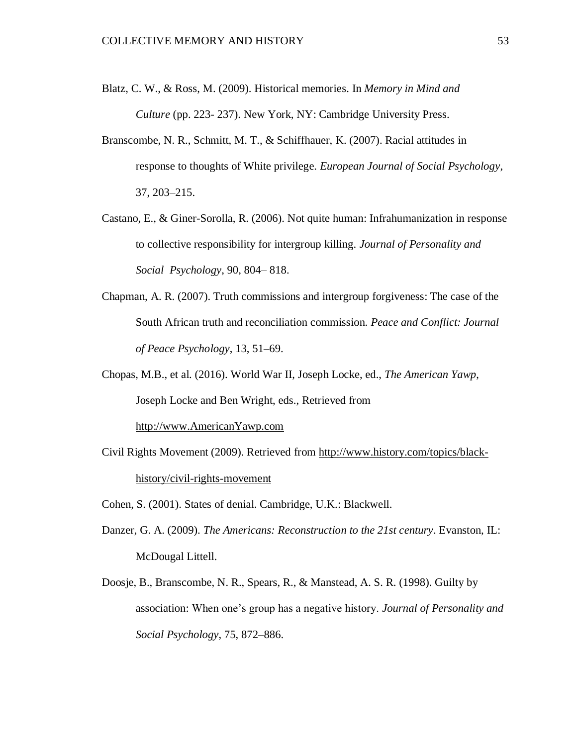- Blatz, C. W., & Ross, M. (2009). Historical memories. In *Memory in Mind and Culture* (pp. 223- 237). New York, NY: Cambridge University Press.
- Branscombe, N. R., Schmitt, M. T., & Schiffhauer, K. (2007). Racial attitudes in response to thoughts of White privilege. *European Journal of Social Psychology*, 37, 203–215.
- Castano, E., & Giner-Sorolla, R. (2006). Not quite human: Infrahumanization in response to collective responsibility for intergroup killing. *Journal of Personality and Social Psychology*, 90, 804– 818.
- Chapman, A. R. (2007). Truth commissions and intergroup forgiveness: The case of the South African truth and reconciliation commission. *Peace and Conflict: Journal of Peace Psychology*, 13, 51–69.
- Chopas, M.B., et al. (2016). World War II, Joseph Locke, ed., *The American Yawp*, Joseph Locke and Ben Wright, eds., Retrieved from [http://www.AmericanYawp.com](http://www.americanyawp.com/)
- Civil Rights Movement (2009). Retrieved from [http://www.history.com/topics/black](http://www.history.com/topics/black-)history/civil-rights-movement
- Cohen, S. (2001). States of denial. Cambridge, U.K.: Blackwell.
- Danzer, G. A. (2009). *The Americans: Reconstruction to the 21st century*. Evanston, IL: McDougal Littell.
- Doosje, B., Branscombe, N. R., Spears, R., & Manstead, A. S. R. (1998). Guilty by association: When one's group has a negative history. *Journal of Personality and Social Psychology*, 75, 872–886.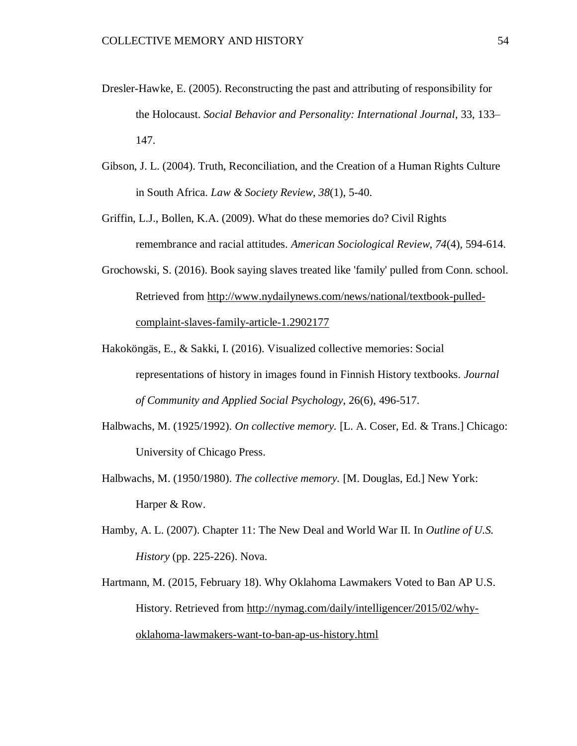- Dresler-Hawke, E. (2005). Reconstructing the past and attributing of responsibility for the Holocaust. *Social Behavior and Personality: International Journal*, 33, 133– 147.
- Gibson, J. L. (2004). Truth, Reconciliation, and the Creation of a Human Rights Culture in South Africa. *Law & Society Review*, *38*(1), 5-40.
- Griffin, L.J., Bollen, K.A. (2009). What do these memories do? Civil Rights remembrance and racial attitudes. *American Sociological Review, 74*(4), 594-614.
- Grochowski, S. (2016). Book saying slaves treated like 'family' pulled from Conn. school. Retrieved from [http://www.nydailynews.com/news/national/textbook-pulled](http://www.nydailynews.com/news/national/textbook-pulled-%09complaint-slaves-)[complaint-slaves-f](http://www.nydailynews.com/news/national/textbook-pulled-%09complaint-slaves-)amily-article-1.2902177
- Hakoköngäs, E., & Sakki, I. (2016). Visualized collective memories: Social representations of history in images found in Finnish History textbooks. *Journal of Community and Applied Social Psychology*, 26(6), 496-517.
- Halbwachs, M. (1925/1992). *On collective memory.* [L. A. Coser, Ed. & Trans.] Chicago: University of Chicago Press.
- Halbwachs, M. (1950/1980). *The collective memory.* [M. Douglas, Ed.] New York: Harper & Row.
- Hamby, A. L. (2007). Chapter 11: The New Deal and World War II. In *Outline of U.S. History* (pp. 225-226). Nova.

Hartmann, M. (2015, February 18). Why Oklahoma Lawmakers Voted to Ban AP U.S. History. Retrieved from [http://nymag.com/daily/intelligencer/2015/02/why](http://nymag.com/daily/intelligencer/2015/02/why-oklahoma-)[oklahoma-l](http://nymag.com/daily/intelligencer/2015/02/why-oklahoma-)awmakers-want-to-ban-ap-us-history.html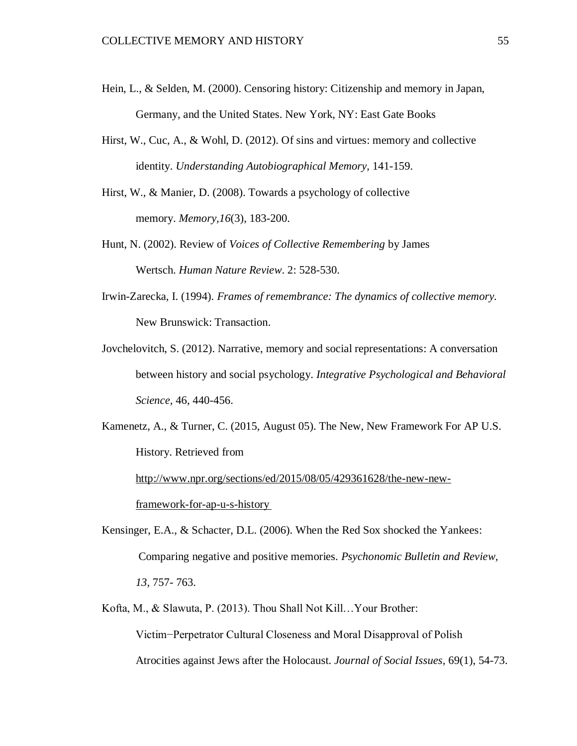- Hein, L., & Selden, M. (2000). Censoring history: Citizenship and memory in Japan, Germany, and the United States. New York, NY: East Gate Books
- Hirst, W., Cuc, A., & Wohl, D. (2012). Of sins and virtues: memory and collective identity. *Understanding Autobiographical Memory,* 141-159.
- Hirst, W., & Manier, D. (2008). Towards a psychology of collective memory. *Memory,16*(3), 183-200.
- Hunt, N. (2002). Review of *Voices of Collective Remembering* by James Wertsch. *Human Nature Review*. 2: 528-530.
- Irwin-Zarecka, I. (1994). *Frames of remembrance: The dynamics of collective memory.*  New Brunswick: Transaction.
- Jovchelovitch, S. (2012). Narrative, memory and social representations: A conversation between history and social psychology. *Integrative Psychological and Behavioral Science,* 46, 440-456.
- Kamenetz, A., & Turner, C. (2015, August 05). The New, New Framework For AP U.S. History. Retrieved from [http://www.npr.org/sections/ed/2015/08/05/429361628/the-new-new-](http://www.npr.org/sections/ed/2015/08/05/429361628/the-new-new-framework-for-)

[framework-for-a](http://www.npr.org/sections/ed/2015/08/05/429361628/the-new-new-framework-for-)p-u-s-history

Kensinger, E.A., & Schacter, D.L. (2006). When the Red Sox shocked the Yankees: Comparing negative and positive memories. *Psychonomic Bulletin and Review, 13,* 757- 763.

Kofta, M., & Slawuta, P. (2013). Thou Shall Not Kill…Your Brother:

Victim−Perpetrator Cultural Closeness and Moral Disapproval of Polish Atrocities against Jews after the Holocaust. *Journal of Social Issues,* 69(1), 54-73.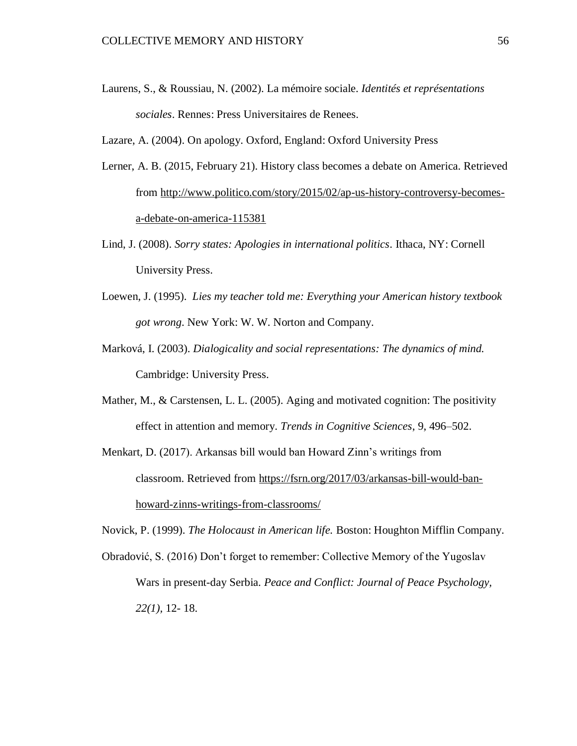Laurens, S., & Roussiau, N. (2002). La mémoire sociale. *Identités et représentations sociales*. Rennes: Press Universitaires de Renees.

Lazare, A. (2004). On apology. Oxford, England: Oxford University Press

- Lerner, A. B. (2015, February 21). History class becomes a debate on America. Retrieved from [http://www.politico.com/story/2015/02/ap-us-history-controversy-becomes](http://www.politico.com/story/2015/02/ap-us-history-controversy-becomes-%09a-debate-)[a-debate-o](http://www.politico.com/story/2015/02/ap-us-history-controversy-becomes-%09a-debate-)n-america-115381
- Lind, J. (2008). *Sorry states: Apologies in international politics*. Ithaca, NY: Cornell University Press.
- Loewen, J. (1995). *Lies my teacher told me: Everything your American history textbook got wrong*. New York: W. W. Norton and Company.
- Marková, I. (2003). *Dialogicality and social representations: The dynamics of mind.*  Cambridge: University Press.
- Mather, M., & Carstensen, L. L. (2005). Aging and motivated cognition: The positivity effect in attention and memory. *Trends in Cognitive Sciences*, 9, 496–502.

Menkart, D. (2017). Arkansas bill would ban Howard Zinn's writings from classroom. Retrieved from [https://fsrn.org/2017/03/arkansas-bill-would-ban](https://fsrn.org/2017/03/arkansas-bill-would-ban-%09howard-zinns-writings-from-classrooms/)[howard-zinns-writings-from-classrooms/](https://fsrn.org/2017/03/arkansas-bill-would-ban-%09howard-zinns-writings-from-classrooms/)

Novick, P. (1999). *The Holocaust in American life.* Boston: Houghton Mifflin Company.

Obradović, S. (2016) Don't forget to remember: Collective Memory of the Yugoslav Wars in present-day Serbia. *Peace and Conflict: Journal of Peace Psychology, 22(1),* 12- 18.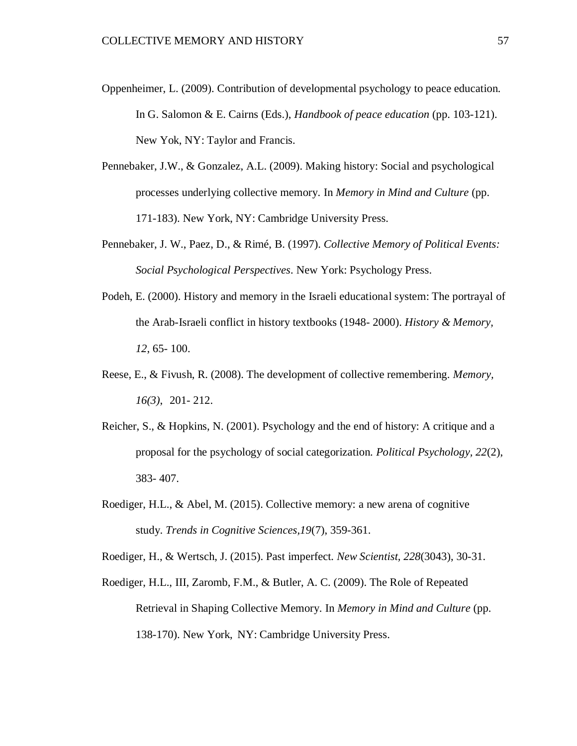- Oppenheimer, L. (2009). Contribution of developmental psychology to peace education. In G. Salomon & E. Cairns (Eds.), *Handbook of peace education* (pp. 103-121). New Yok, NY: Taylor and Francis.
- Pennebaker, J.W., & Gonzalez, A.L. (2009). Making history: Social and psychological processes underlying collective memory. In *Memory in Mind and Culture* (pp. 171-183). New York, NY: Cambridge University Press.
- Pennebaker, J. W., Paez, D., & Rimé, B. (1997). *Collective Memory of Political Events: Social Psychological Perspectives.* New York: Psychology Press.
- Podeh, E. (2000). History and memory in the Israeli educational system: The portrayal of the Arab-Israeli conflict in history textbooks (1948- 2000). *History & Memory, 12*, 65- 100.
- Reese, E., & Fivush, R. (2008). The development of collective remembering. *Memory, 16(3)*, 201- 212.
- Reicher, S., & Hopkins, N. (2001). Psychology and the end of history: A critique and a proposal for the psychology of social categorization. *Political Psychology, 22*(2), 383- 407.
- Roediger, H.L., & Abel, M. (2015). Collective memory: a new arena of cognitive study. *Trends in Cognitive Sciences,19*(7), 359-361.

Roediger, H., & Wertsch, J. (2015). Past imperfect. *New Scientist, 228*(3043), 30-31.

Roediger, H.L., III, Zaromb, F.M., & Butler, A. C. (2009). The Role of Repeated Retrieval in Shaping Collective Memory. In *Memory in Mind and Culture* (pp. 138-170). New York, NY: Cambridge University Press.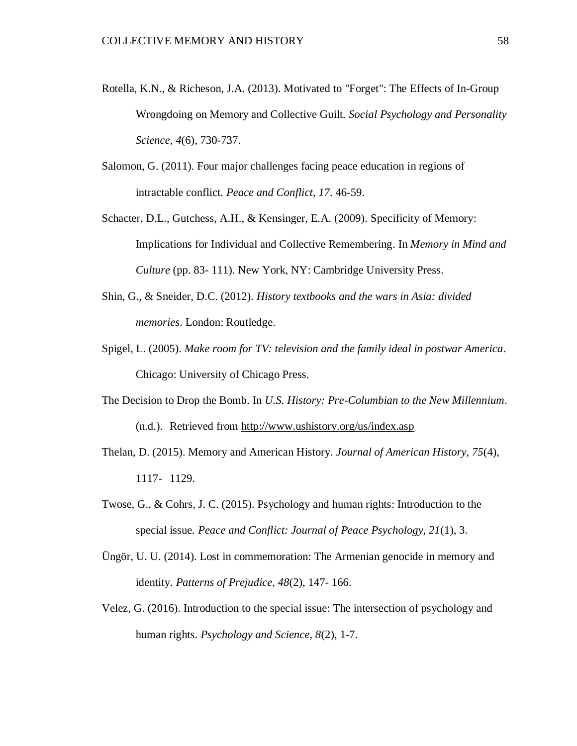- Rotella, K.N., & Richeson, J.A. (2013). Motivated to "Forget": The Effects of In-Group Wrongdoing on Memory and Collective Guilt. *Social Psychology and Personality Science, 4*(6), 730-737.
- Salomon, G. (2011). Four major challenges facing peace education in regions of intractable conflict. *Peace and Conflict, 17*. 46-59.
- Schacter, D.L., Gutchess, A.H., & Kensinger, E.A. (2009). Specificity of Memory: Implications for Individual and Collective Remembering. In *Memory in Mind and Culture* (pp. 83- 111). New York, NY: Cambridge University Press.
- Shin, G., & Sneider, D.C. (2012). *History textbooks and the wars in Asia: divided memories*. London: Routledge.
- Spigel, L. (2005). *Make room for TV: television and the family ideal in postwar America*. Chicago: University of Chicago Press.
- The Decision to Drop the Bomb. In *U.S. History: Pre-Columbian to the New Millennium*. (n.d.). Retrieved from<http://www.ushistory.org/us/index.asp>
- Thelan, D. (2015). Memory and American History. *Journal of American History, 75*(4), 1117- 1129.
- Twose, G., & Cohrs, J. C. (2015). Psychology and human rights: Introduction to the special issue*. Peace and Conflict: Journal of Peace Psychology, 21*(1), 3.
- [Üngör,](http://www.tandfonline.com/author/%C3%9Cng%C3%B6r%2C+U%C4%9Fur+%C3%9Cmit) U. U. (2014). Lost in commemoration: The Armenian genocide in memory and identity. *Patterns of Prejudice, 48*(2), 147- 166.
- Velez, G. (2016). Introduction to the special issue: The intersection of psychology and human rights. *Psychology and Science, 8*(2), 1-7.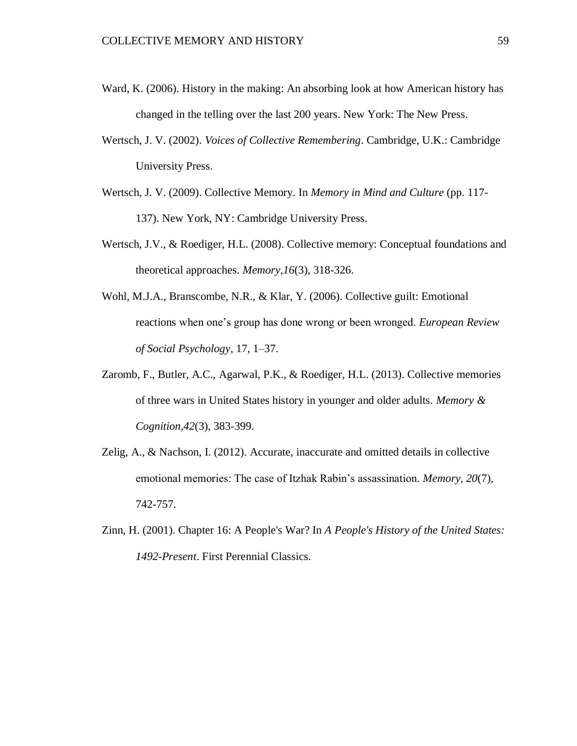- Ward, K. (2006). History in the making: An absorbing look at how American history has changed in the telling over the last 200 years. New York: The New Press.
- Wertsch, J. V. (2002). *Voices of Collective Remembering*. Cambridge, U.K.: Cambridge University Press.
- Wertsch, J. V. (2009). Collective Memory. In *Memory in Mind and Culture* (pp. 117- 137). New York, NY: Cambridge University Press.
- Wertsch, J.V., & Roediger, H.L. (2008). Collective memory: Conceptual foundations and theoretical approaches. *Memory,16*(3), 318-326.
- Wohl, M.J.A., Branscombe, N.R., & Klar, Y. (2006). Collective guilt: Emotional reactions when one's group has done wrong or been wronged. *European Review of Social Psychology*, 17, 1–37.
- Zaromb, F., Butler, A.C., Agarwal, P.K., & Roediger, H.L. (2013). Collective memories of three wars in United States history in younger and older adults. *Memory & Cognition,42*(3), 383-399.
- Zelig, A., & Nachson, I. (2012). Accurate, inaccurate and omitted details in collective emotional memories: The case of Itzhak Rabin's assassination. *Memory, 20*(7), 742-757.
- Zinn, H. (2001). Chapter 16: A People's War? In *A People's History of the United States: 1492-Present*. First Perennial Classics.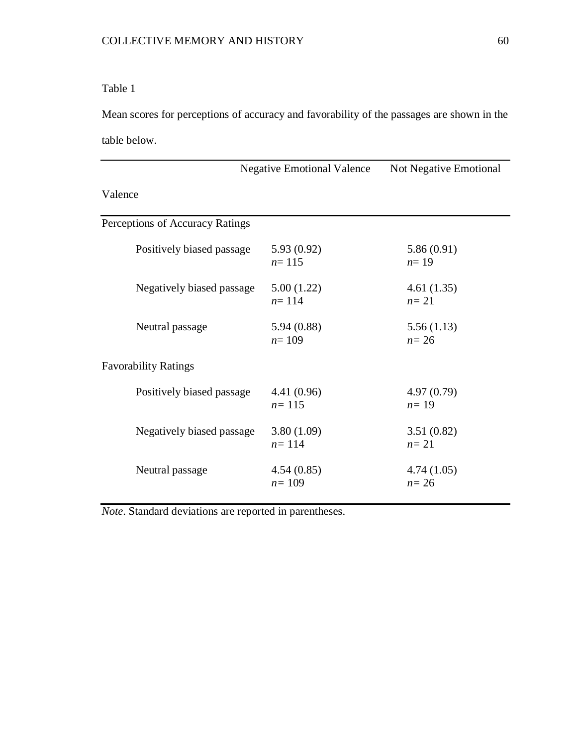# Table 1

Mean scores for perceptions of accuracy and favorability of the passages are shown in the table below.

| <b>Negative Emotional Valence</b> |                         | Not Negative Emotional |
|-----------------------------------|-------------------------|------------------------|
| Valence                           |                         |                        |
| Perceptions of Accuracy Ratings   |                         |                        |
| Positively biased passage         | 5.93(0.92)<br>$n = 115$ | 5.86(0.91)<br>$n=19$   |
| Negatively biased passage         | 5.00(1.22)<br>$n = 114$ | 4.61(1.35)<br>$n=21$   |
| Neutral passage                   | 5.94(0.88)<br>$n = 109$ | 5.56(1.13)<br>$n = 26$ |
| <b>Favorability Ratings</b>       |                         |                        |
| Positively biased passage         | 4.41(0.96)<br>$n = 115$ | 4.97(0.79)<br>$n=19$   |
| Negatively biased passage         | 3.80(1.09)<br>$n = 114$ | 3.51(0.82)<br>$n=21$   |
| Neutral passage                   | 4.54(0.85)<br>$n = 109$ | 4.74(1.05)<br>$n=26$   |

*Note*. Standard deviations are reported in parentheses.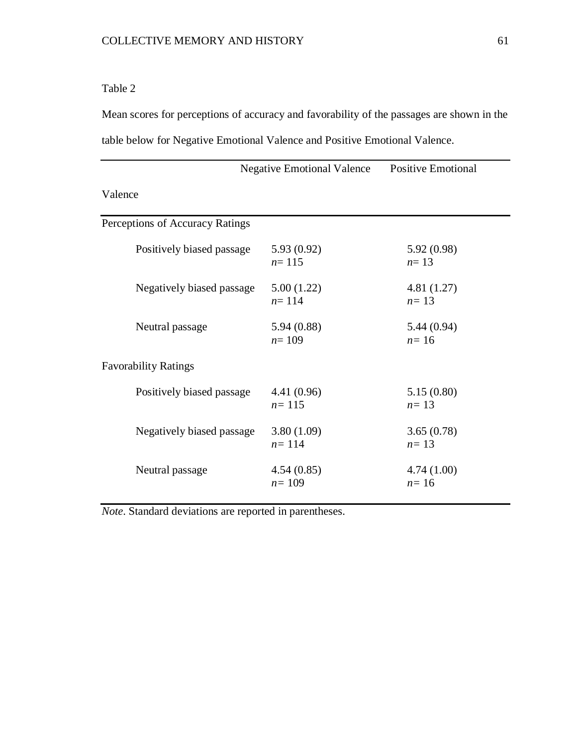# Table 2

Mean scores for perceptions of accuracy and favorability of the passages are shown in the table below for Negative Emotional Valence and Positive Emotional Valence.

| <b>Negative Emotional Valence</b> |                          | <b>Positive Emotional</b> |
|-----------------------------------|--------------------------|---------------------------|
| Valence                           |                          |                           |
| Perceptions of Accuracy Ratings   |                          |                           |
| Positively biased passage         | 5.93(0.92)<br>$n = 115$  | 5.92(0.98)<br>$n=13$      |
| Negatively biased passage         | 5.00(1.22)<br>$n = 114$  | 4.81(1.27)<br>$n=13$      |
| Neutral passage                   | 5.94(0.88)<br>$n=109$    | 5.44(0.94)<br>$n=16$      |
| <b>Favorability Ratings</b>       |                          |                           |
| Positively biased passage         | 4.41 (0.96)<br>$n = 115$ | 5.15(0.80)<br>$n=13$      |
| Negatively biased passage         | 3.80(1.09)<br>$n = 114$  | 3.65(0.78)<br>$n=13$      |
| Neutral passage                   | 4.54(0.85)<br>$n = 109$  | 4.74(1.00)<br>$n=16$      |

*Note*. Standard deviations are reported in parentheses.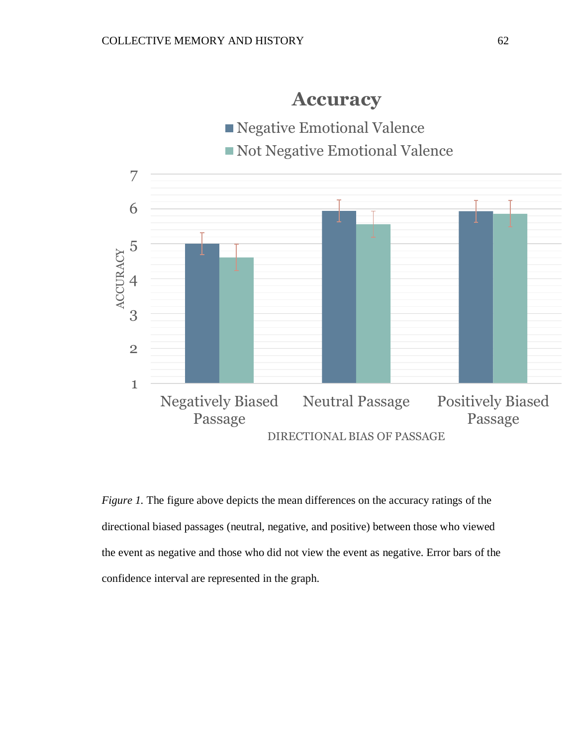# **Accuracy**

Negative Emotional Valence Not Negative Emotional Valence



*Figure 1*. The figure above depicts the mean differences on the accuracy ratings of the directional biased passages (neutral, negative, and positive) between those who viewed the event as negative and those who did not view the event as negative. Error bars of the confidence interval are represented in the graph.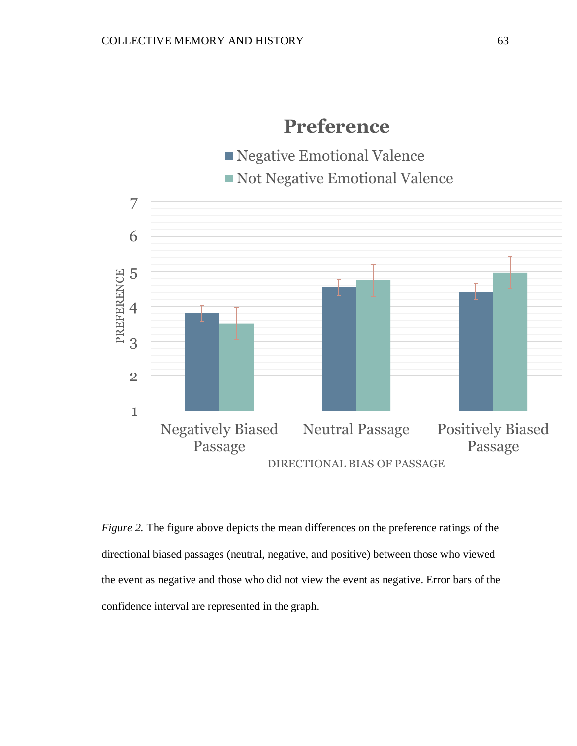# **Preference**

Negative Emotional Valence Not Negative Emotional Valence



*Figure 2.* The figure above depicts the mean differences on the preference ratings of the directional biased passages (neutral, negative, and positive) between those who viewed the event as negative and those who did not view the event as negative. Error bars of the confidence interval are represented in the graph.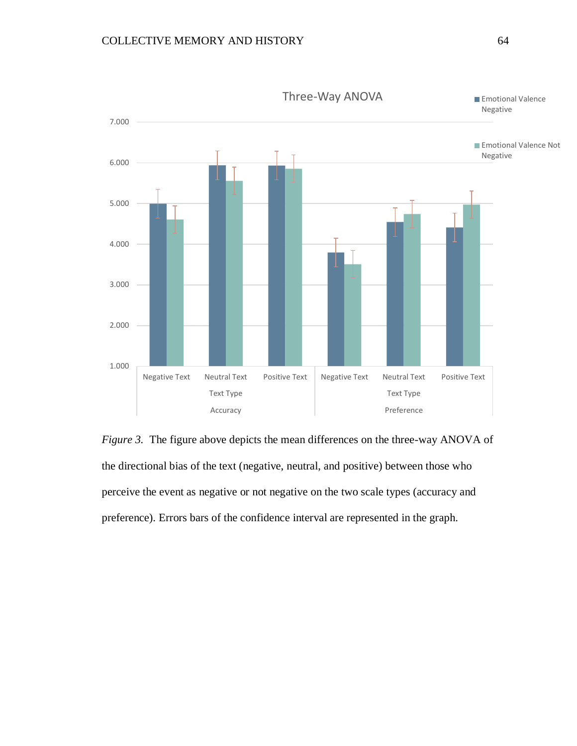

*Figure 3.* The figure above depicts the mean differences on the three-way ANOVA of the directional bias of the text (negative, neutral, and positive) between those who perceive the event as negative or not negative on the two scale types (accuracy and preference). Errors bars of the confidence interval are represented in the graph.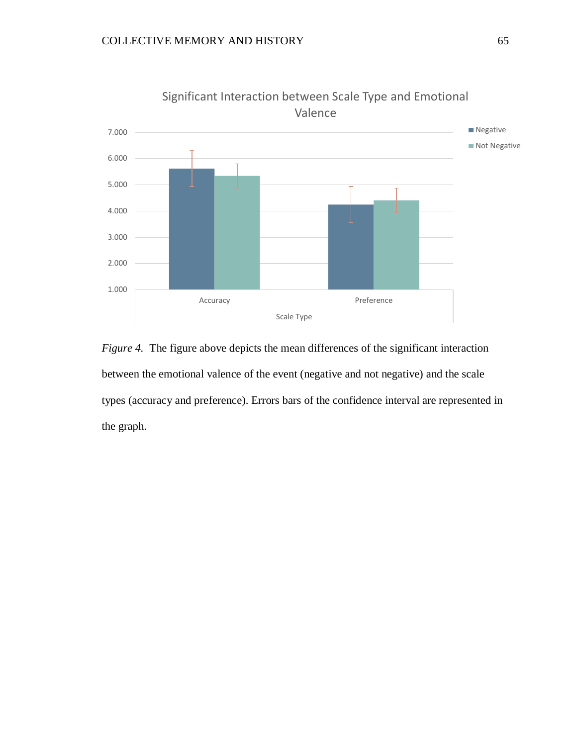

*Figure 4.* The figure above depicts the mean differences of the significant interaction between the emotional valence of the event (negative and not negative) and the scale types (accuracy and preference). Errors bars of the confidence interval are represented in the graph.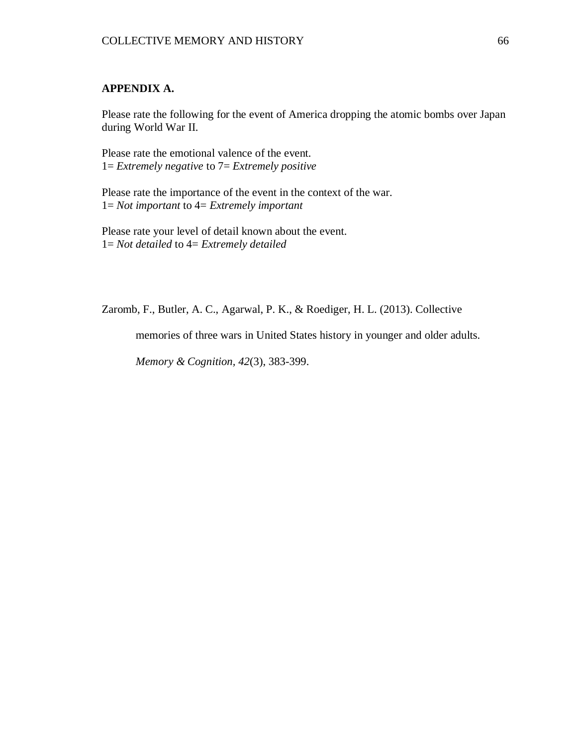## **APPENDIX A.**

Please rate the following for the event of America dropping the atomic bombs over Japan during World War II.

Please rate the emotional valence of the event. 1= *Extremely negative* to 7= *Extremely positive*

Please rate the importance of the event in the context of the war. 1= *Not important* to 4= *Extremely important*

Please rate your level of detail known about the event. 1= *Not detailed* to 4= *Extremely detailed*

Zaromb, F., Butler, A. C., Agarwal, P. K., & Roediger, H. L. (2013). Collective

memories of three wars in United States history in younger and older adults.

*Memory & Cognition, 42*(3), 383-399.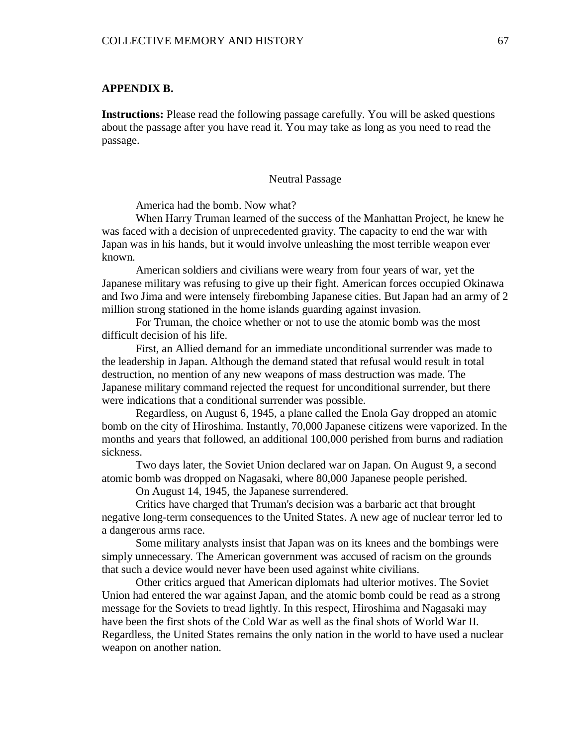### **APPENDIX B.**

**Instructions:** Please read the following passage carefully. You will be asked questions about the passage after you have read it. You may take as long as you need to read the passage.

#### Neutral Passage

America had the bomb. Now what?

When Harry Truman learned of the success of the Manhattan Project, he knew he was faced with a decision of unprecedented gravity. The capacity to end the war with Japan was in his hands, but it would involve unleashing the most terrible weapon ever known.

American soldiers and civilians were weary from four years of war, yet the Japanese military was refusing to give up their fight. American forces occupied Okinawa and Iwo Jima and were intensely firebombing Japanese cities. But Japan had an army of 2 million strong stationed in the home islands guarding against invasion.

For Truman, the choice whether or not to use the atomic bomb was the most difficult decision of his life.

First, an Allied demand for an immediate unconditional surrender was made to the leadership in Japan. Although the demand stated that refusal would result in total destruction, no mention of any new weapons of mass destruction was made. The Japanese military command rejected the request for unconditional surrender, but there were indications that a conditional surrender was possible.

Regardless, on August 6, 1945, a plane called the Enola Gay dropped an atomic bomb on the city of Hiroshima. Instantly, 70,000 Japanese citizens were vaporized. In the months and years that followed, an additional 100,000 perished from burns and radiation sickness.

Two days later, the Soviet Union declared war on Japan. On August 9, a second atomic bomb was dropped on Nagasaki, where 80,000 Japanese people perished.

On August 14, 1945, the Japanese surrendered.

Critics have charged that Truman's decision was a barbaric act that brought negative long-term consequences to the United States. A new age of nuclear terror led to a dangerous arms race.

Some military analysts insist that Japan was on its knees and the bombings were simply unnecessary. The American government was accused of racism on the grounds that such a device would never have been used against white civilians.

Other critics argued that American diplomats had ulterior motives. The Soviet Union had entered the war against Japan, and the atomic bomb could be read as a strong message for the Soviets to tread lightly. In this respect, Hiroshima and Nagasaki may have been the first shots of the Cold War as well as the final shots of World War II. Regardless, the United States remains the only nation in the world to have used a nuclear weapon on another nation.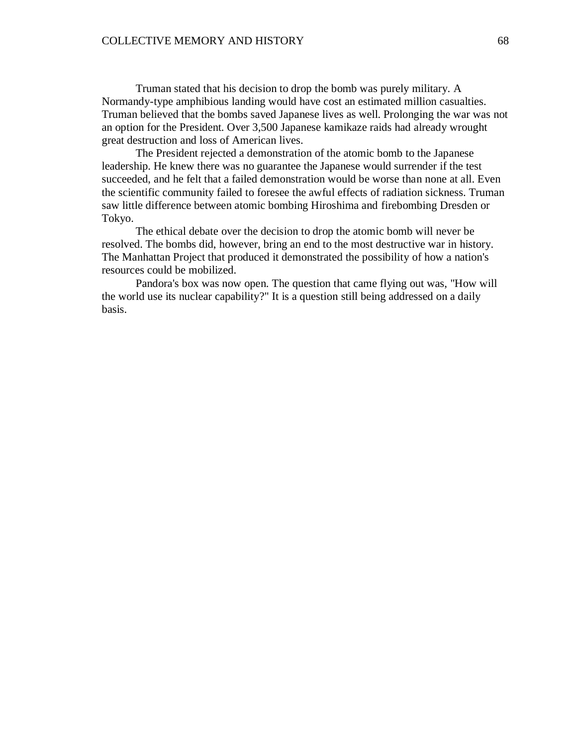Truman stated that his decision to drop the bomb was purely military. A Normandy-type amphibious landing would have cost an estimated million casualties. Truman believed that the bombs saved Japanese lives as well. Prolonging the war was not an option for the President. Over 3,500 Japanese kamikaze raids had already wrought great destruction and loss of American lives.

The President rejected a demonstration of the atomic bomb to the Japanese leadership. He knew there was no guarantee the Japanese would surrender if the test succeeded, and he felt that a failed demonstration would be worse than none at all. Even the scientific community failed to foresee the awful effects of radiation sickness. Truman saw little difference between atomic bombing Hiroshima and firebombing Dresden or Tokyo.

The ethical debate over the decision to drop the atomic bomb will never be resolved. The bombs did, however, bring an end to the most destructive war in history. The Manhattan Project that produced it demonstrated the possibility of how a nation's resources could be mobilized.

Pandora's box was now open. The question that came flying out was, "How will the world use its nuclear capability?" It is a question still being addressed on a daily basis.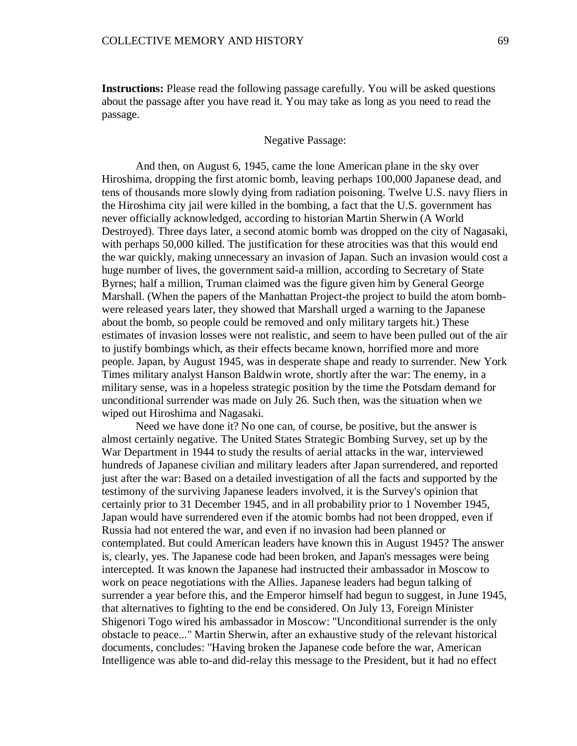**Instructions:** Please read the following passage carefully. You will be asked questions about the passage after you have read it. You may take as long as you need to read the passage.

Negative Passage:

And then, on August 6, 1945, came the lone American plane in the sky over Hiroshima, dropping the first atomic bomb, leaving perhaps 100,000 Japanese dead, and tens of thousands more slowly dying from radiation poisoning. Twelve U.S. navy fliers in the Hiroshima city jail were killed in the bombing, a fact that the U.S. government has never officially acknowledged, according to historian Martin Sherwin (A World Destroyed). Three days later, a second atomic bomb was dropped on the city of Nagasaki, with perhaps 50,000 killed. The justification for these atrocities was that this would end the war quickly, making unnecessary an invasion of Japan. Such an invasion would cost a huge number of lives, the government said-a million, according to Secretary of State Byrnes; half a million, Truman claimed was the figure given him by General George Marshall. (When the papers of the Manhattan Project-the project to build the atom bombwere released years later, they showed that Marshall urged a warning to the Japanese about the bomb, so people could be removed and only military targets hit.) These estimates of invasion losses were not realistic, and seem to have been pulled out of the air to justify bombings which, as their effects became known, horrified more and more people. Japan, by August 1945, was in desperate shape and ready to surrender. New York Times military analyst Hanson Baldwin wrote, shortly after the war: The enemy, in a military sense, was in a hopeless strategic position by the time the Potsdam demand for unconditional surrender was made on July 26. Such then, was the situation when we wiped out Hiroshima and Nagasaki.

Need we have done it? No one can, of course, be positive, but the answer is almost certainly negative. The United States Strategic Bombing Survey, set up by the War Department in 1944 to study the results of aerial attacks in the war, interviewed hundreds of Japanese civilian and military leaders after Japan surrendered, and reported just after the war: Based on a detailed investigation of all the facts and supported by the testimony of the surviving Japanese leaders involved, it is the Survey's opinion that certainly prior to 31 December 1945, and in all probability prior to 1 November 1945, Japan would have surrendered even if the atomic bombs had not been dropped, even if Russia had not entered the war, and even if no invasion had been planned or contemplated. But could American leaders have known this in August 1945? The answer is, clearly, yes. The Japanese code had been broken, and Japan's messages were being intercepted. It was known the Japanese had instructed their ambassador in Moscow to work on peace negotiations with the Allies. Japanese leaders had begun talking of surrender a year before this, and the Emperor himself had begun to suggest, in June 1945, that alternatives to fighting to the end be considered. On July 13, Foreign Minister Shigenori Togo wired his ambassador in Moscow: "Unconditional surrender is the only obstacle to peace..." Martin Sherwin, after an exhaustive study of the relevant historical documents, concludes: "Having broken the Japanese code before the war, American Intelligence was able to-and did-relay this message to the President, but it had no effect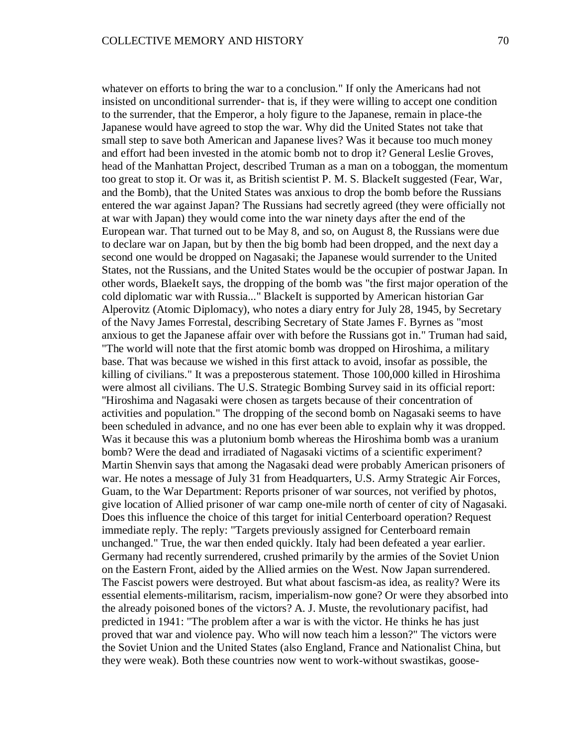whatever on efforts to bring the war to a conclusion." If only the Americans had not

insisted on unconditional surrender- that is, if they were willing to accept one condition to the surrender, that the Emperor, a holy figure to the Japanese, remain in place-the Japanese would have agreed to stop the war. Why did the United States not take that small step to save both American and Japanese lives? Was it because too much money and effort had been invested in the atomic bomb not to drop it? General Leslie Groves, head of the Manhattan Project, described Truman as a man on a toboggan, the momentum too great to stop it. Or was it, as British scientist P. M. S. BlackeIt suggested (Fear, War, and the Bomb), that the United States was anxious to drop the bomb before the Russians entered the war against Japan? The Russians had secretly agreed (they were officially not at war with Japan) they would come into the war ninety days after the end of the European war. That turned out to be May 8, and so, on August 8, the Russians were due to declare war on Japan, but by then the big bomb had been dropped, and the next day a second one would be dropped on Nagasaki; the Japanese would surrender to the United States, not the Russians, and the United States would be the occupier of postwar Japan. In other words, BlaekeIt says, the dropping of the bomb was "the first major operation of the cold diplomatic war with Russia..." BlackeIt is supported by American historian Gar Alperovitz (Atomic Diplomacy), who notes a diary entry for July 28, 1945, by Secretary of the Navy James Forrestal, describing Secretary of State James F. Byrnes as "most anxious to get the Japanese affair over with before the Russians got in." Truman had said, "The world will note that the first atomic bomb was dropped on Hiroshima, a military base. That was because we wished in this first attack to avoid, insofar as possible, the killing of civilians." It was a preposterous statement. Those 100,000 killed in Hiroshima were almost all civilians. The U.S. Strategic Bombing Survey said in its official report: "Hiroshima and Nagasaki were chosen as targets because of their concentration of activities and population." The dropping of the second bomb on Nagasaki seems to have been scheduled in advance, and no one has ever been able to explain why it was dropped. Was it because this was a plutonium bomb whereas the Hiroshima bomb was a uranium bomb? Were the dead and irradiated of Nagasaki victims of a scientific experiment? Martin Shenvin says that among the Nagasaki dead were probably American prisoners of war. He notes a message of July 31 from Headquarters, U.S. Army Strategic Air Forces, Guam, to the War Department: Reports prisoner of war sources, not verified by photos, give location of Allied prisoner of war camp one-mile north of center of city of Nagasaki. Does this influence the choice of this target for initial Centerboard operation? Request immediate reply. The reply: "Targets previously assigned for Centerboard remain unchanged." True, the war then ended quickly. Italy had been defeated a year earlier. Germany had recently surrendered, crushed primarily by the armies of the Soviet Union on the Eastern Front, aided by the Allied armies on the West. Now Japan surrendered. The Fascist powers were destroyed. But what about fascism-as idea, as reality? Were its essential elements-militarism, racism, imperialism-now gone? Or were they absorbed into the already poisoned bones of the victors? A. J. Muste, the revolutionary pacifist, had predicted in 1941: "The problem after a war is with the victor. He thinks he has just proved that war and violence pay. Who will now teach him a lesson?" The victors were the Soviet Union and the United States (also England, France and Nationalist China, but they were weak). Both these countries now went to work-without swastikas, goose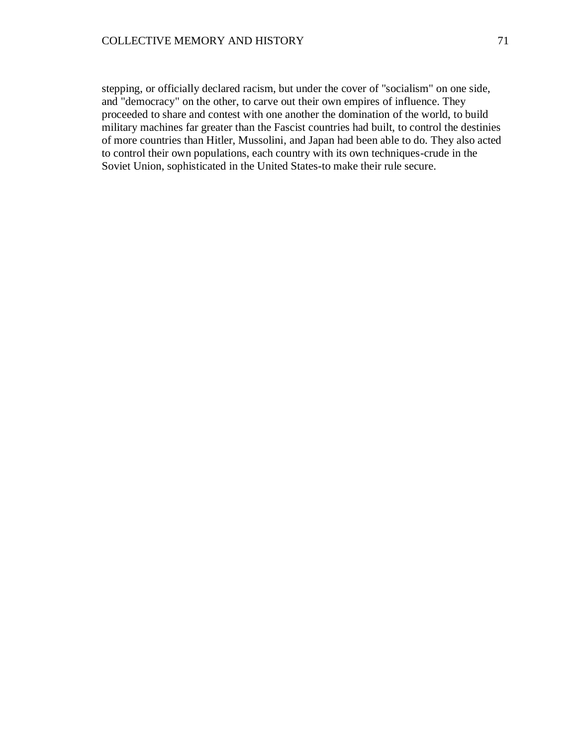stepping, or officially declared racism, but under the cover of "socialism" on one side, and "democracy" on the other, to carve out their own empires of influence. They proceeded to share and contest with one another the domination of the world, to build military machines far greater than the Fascist countries had built, to control the destinies of more countries than Hitler, Mussolini, and Japan had been able to do. They also acted to control their own populations, each country with its own techniques-crude in the Soviet Union, sophisticated in the United States-to make their rule secure.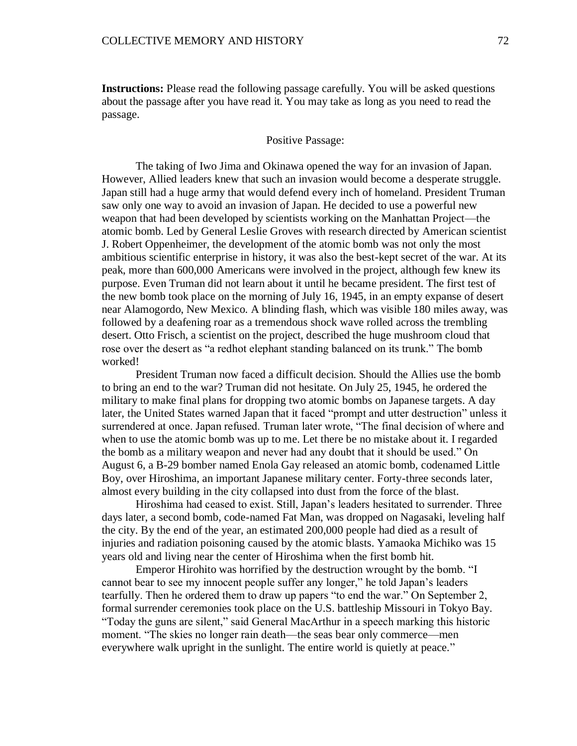**Instructions:** Please read the following passage carefully. You will be asked questions about the passage after you have read it. You may take as long as you need to read the passage.

Positive Passage:

The taking of Iwo Jima and Okinawa opened the way for an invasion of Japan. However, Allied leaders knew that such an invasion would become a desperate struggle. Japan still had a huge army that would defend every inch of homeland. President Truman saw only one way to avoid an invasion of Japan. He decided to use a powerful new weapon that had been developed by scientists working on the Manhattan Project—the atomic bomb. Led by General Leslie Groves with research directed by American scientist J. Robert Oppenheimer, the development of the atomic bomb was not only the most ambitious scientific enterprise in history, it was also the best-kept secret of the war. At its peak, more than 600,000 Americans were involved in the project, although few knew its purpose. Even Truman did not learn about it until he became president. The first test of the new bomb took place on the morning of July 16, 1945, in an empty expanse of desert near Alamogordo, New Mexico. A blinding flash, which was visible 180 miles away, was followed by a deafening roar as a tremendous shock wave rolled across the trembling desert. Otto Frisch, a scientist on the project, described the huge mushroom cloud that rose over the desert as "a redhot elephant standing balanced on its trunk." The bomb worked!

President Truman now faced a difficult decision. Should the Allies use the bomb to bring an end to the war? Truman did not hesitate. On July 25, 1945, he ordered the military to make final plans for dropping two atomic bombs on Japanese targets. A day later, the United States warned Japan that it faced "prompt and utter destruction" unless it surrendered at once. Japan refused. Truman later wrote, "The final decision of where and when to use the atomic bomb was up to me. Let there be no mistake about it. I regarded the bomb as a military weapon and never had any doubt that it should be used." On August 6, a B-29 bomber named Enola Gay released an atomic bomb, codenamed Little Boy, over Hiroshima, an important Japanese military center. Forty-three seconds later, almost every building in the city collapsed into dust from the force of the blast.

Hiroshima had ceased to exist. Still, Japan's leaders hesitated to surrender. Three days later, a second bomb, code-named Fat Man, was dropped on Nagasaki, leveling half the city. By the end of the year, an estimated 200,000 people had died as a result of injuries and radiation poisoning caused by the atomic blasts. Yamaoka Michiko was 15 years old and living near the center of Hiroshima when the first bomb hit.

Emperor Hirohito was horrified by the destruction wrought by the bomb. "I cannot bear to see my innocent people suffer any longer," he told Japan's leaders tearfully. Then he ordered them to draw up papers "to end the war." On September 2, formal surrender ceremonies took place on the U.S. battleship Missouri in Tokyo Bay. "Today the guns are silent," said General MacArthur in a speech marking this historic moment. "The skies no longer rain death—the seas bear only commerce—men everywhere walk upright in the sunlight. The entire world is quietly at peace."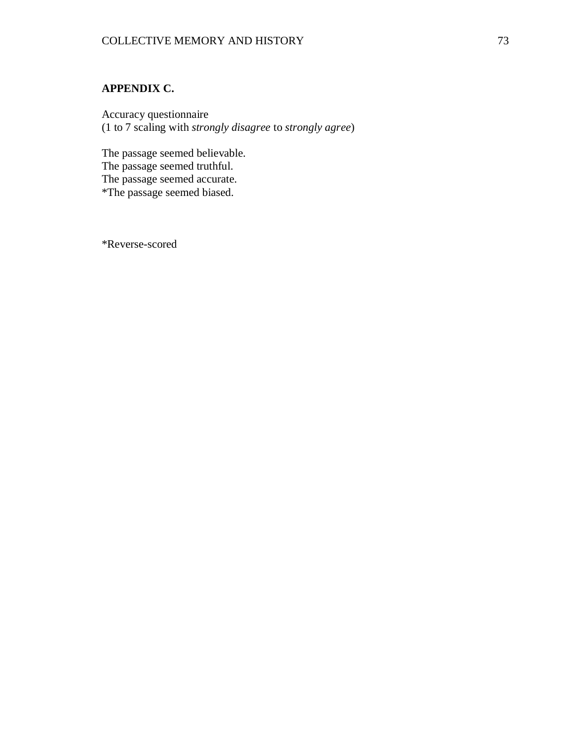## **APPENDIX C.**

Accuracy questionnaire (1 to 7 scaling with *strongly disagree* to *strongly agree*)

The passage seemed believable. The passage seemed truthful. The passage seemed accurate. \*The passage seemed biased.

\*Reverse-scored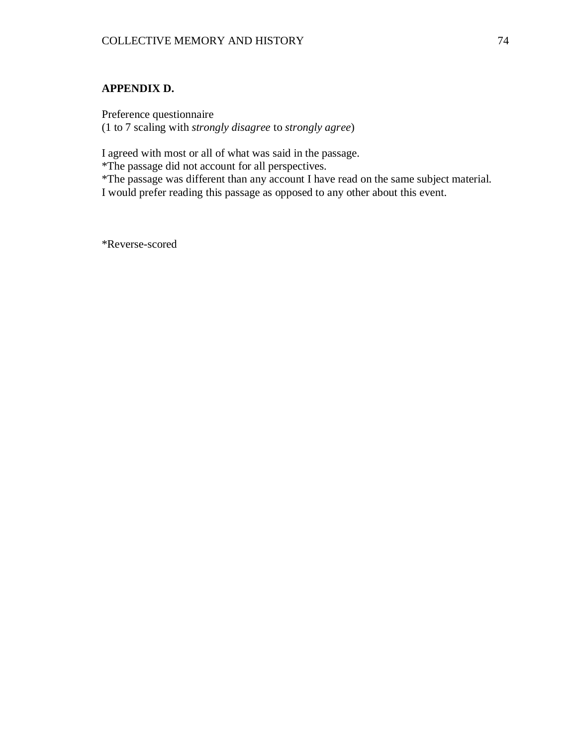## **APPENDIX D.**

Preference questionnaire (1 to 7 scaling with *strongly disagree* to *strongly agree*)

I agreed with most or all of what was said in the passage. \*The passage did not account for all perspectives.

\*The passage was different than any account I have read on the same subject material. I would prefer reading this passage as opposed to any other about this event.

\*Reverse-scored